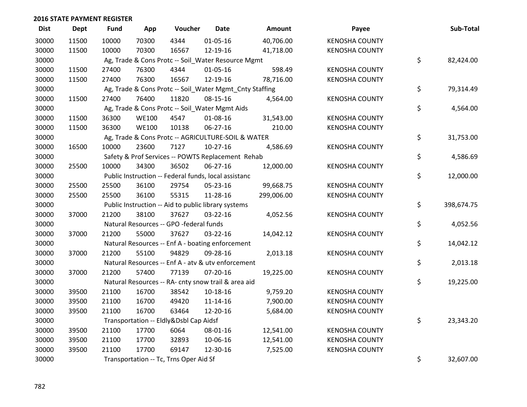| <b>Dist</b> | <b>Dept</b> | <b>Fund</b> | App          | Voucher                                                 | <b>Date</b>    | Amount     | Payee                 | Sub-Total        |
|-------------|-------------|-------------|--------------|---------------------------------------------------------|----------------|------------|-----------------------|------------------|
| 30000       | 11500       | 10000       | 70300        | 4344                                                    | 01-05-16       | 40,706.00  | <b>KENOSHA COUNTY</b> |                  |
| 30000       | 11500       | 10000       | 70300        | 16567                                                   | 12-19-16       | 41,718.00  | <b>KENOSHA COUNTY</b> |                  |
| 30000       |             |             |              | Ag, Trade & Cons Protc -- Soil_Water Resource Mgmt      |                |            |                       | \$<br>82,424.00  |
| 30000       | 11500       | 27400       | 76300        | 4344                                                    | $01 - 05 - 16$ | 598.49     | <b>KENOSHA COUNTY</b> |                  |
| 30000       | 11500       | 27400       | 76300        | 16567                                                   | 12-19-16       | 78,716.00  | <b>KENOSHA COUNTY</b> |                  |
| 30000       |             |             |              | Ag, Trade & Cons Protc -- Soil_Water Mgmt_Cnty Staffing |                |            |                       | \$<br>79,314.49  |
| 30000       | 11500       | 27400       | 76400        | 11820                                                   | 08-15-16       | 4,564.00   | <b>KENOSHA COUNTY</b> |                  |
| 30000       |             |             |              | Ag, Trade & Cons Protc -- Soil_Water Mgmt Aids          |                |            |                       | \$<br>4,564.00   |
| 30000       | 11500       | 36300       | <b>WE100</b> | 4547                                                    | 01-08-16       | 31,543.00  | <b>KENOSHA COUNTY</b> |                  |
| 30000       | 11500       | 36300       | <b>WE100</b> | 10138                                                   | 06-27-16       | 210.00     | <b>KENOSHA COUNTY</b> |                  |
| 30000       |             |             |              | Ag, Trade & Cons Protc -- AGRICULTURE-SOIL & WATER      |                |            |                       | \$<br>31,753.00  |
| 30000       | 16500       | 10000       | 23600        | 7127                                                    | $10-27-16$     | 4,586.69   | <b>KENOSHA COUNTY</b> |                  |
| 30000       |             |             |              | Safety & Prof Services -- POWTS Replacement Rehab       |                |            |                       | \$<br>4,586.69   |
| 30000       | 25500       | 10000       | 34300        | 36502                                                   | 06-27-16       | 12,000.00  | <b>KENOSHA COUNTY</b> |                  |
| 30000       |             |             |              | Public Instruction -- Federal funds, local assistanc    |                |            |                       | \$<br>12,000.00  |
| 30000       | 25500       | 25500       | 36100        | 29754                                                   | 05-23-16       | 99,668.75  | <b>KENOSHA COUNTY</b> |                  |
| 30000       | 25500       | 25500       | 36100        | 55315                                                   | 11-28-16       | 299,006.00 | <b>KENOSHA COUNTY</b> |                  |
| 30000       |             |             |              | Public Instruction -- Aid to public library systems     |                |            |                       | \$<br>398,674.75 |
| 30000       | 37000       | 21200       | 38100        | 37627                                                   | 03-22-16       | 4,052.56   | <b>KENOSHA COUNTY</b> |                  |
| 30000       |             |             |              | Natural Resources -- GPO -federal funds                 |                |            |                       | \$<br>4,052.56   |
| 30000       | 37000       | 21200       | 55000        | 37627                                                   | 03-22-16       | 14,042.12  | <b>KENOSHA COUNTY</b> |                  |
| 30000       |             |             |              | Natural Resources -- Enf A - boating enforcement        |                |            |                       | \$<br>14,042.12  |
| 30000       | 37000       | 21200       | 55100        | 94829                                                   | 09-28-16       | 2,013.18   | <b>KENOSHA COUNTY</b> |                  |
| 30000       |             |             |              | Natural Resources -- Enf A - atv & utv enforcement      |                |            |                       | \$<br>2,013.18   |
| 30000       | 37000       | 21200       | 57400        | 77139                                                   | $07 - 20 - 16$ | 19,225.00  | <b>KENOSHA COUNTY</b> |                  |
| 30000       |             |             |              | Natural Resources -- RA- cnty snow trail & area aid     |                |            |                       | \$<br>19,225.00  |
| 30000       | 39500       | 21100       | 16700        | 38542                                                   | 10-18-16       | 9,759.20   | <b>KENOSHA COUNTY</b> |                  |
| 30000       | 39500       | 21100       | 16700        | 49420                                                   | 11-14-16       | 7,900.00   | <b>KENOSHA COUNTY</b> |                  |
| 30000       | 39500       | 21100       | 16700        | 63464                                                   | 12-20-16       | 5,684.00   | <b>KENOSHA COUNTY</b> |                  |
| 30000       |             |             |              | Transportation -- Eldly&Dsbl Cap Aidsf                  |                |            |                       | \$<br>23,343.20  |
| 30000       | 39500       | 21100       | 17700        | 6064                                                    | 08-01-16       | 12,541.00  | <b>KENOSHA COUNTY</b> |                  |
| 30000       | 39500       | 21100       | 17700        | 32893                                                   | 10-06-16       | 12,541.00  | <b>KENOSHA COUNTY</b> |                  |
| 30000       | 39500       | 21100       | 17700        | 69147                                                   | 12-30-16       | 7,525.00   | <b>KENOSHA COUNTY</b> |                  |
| 30000       |             |             |              | Transportation -- Tc, Trns Oper Aid Sf                  |                |            |                       | \$<br>32,607.00  |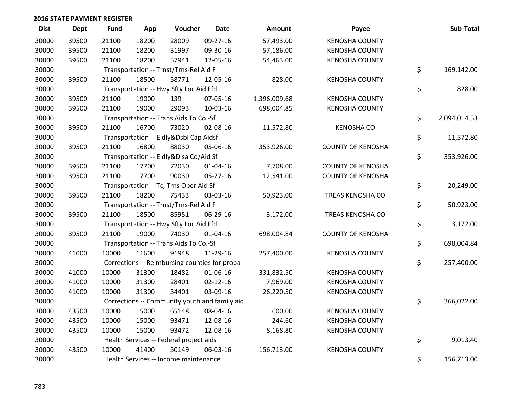| <b>Dist</b> | Dept  | <b>Fund</b> | App   | Voucher                                 | <b>Date</b>                                   | Amount       | Payee                    | Sub-Total          |
|-------------|-------|-------------|-------|-----------------------------------------|-----------------------------------------------|--------------|--------------------------|--------------------|
| 30000       | 39500 | 21100       | 18200 | 28009                                   | 09-27-16                                      | 57,493.00    | <b>KENOSHA COUNTY</b>    |                    |
| 30000       | 39500 | 21100       | 18200 | 31997                                   | 09-30-16                                      | 57,186.00    | <b>KENOSHA COUNTY</b>    |                    |
| 30000       | 39500 | 21100       | 18200 | 57941                                   | 12-05-16                                      | 54,463.00    | <b>KENOSHA COUNTY</b>    |                    |
| 30000       |       |             |       | Transportation -- Trnst/Trns-Rel Aid F  |                                               |              |                          | \$<br>169,142.00   |
| 30000       | 39500 | 21100       | 18500 | 58771                                   | 12-05-16                                      | 828.00       | <b>KENOSHA COUNTY</b>    |                    |
| 30000       |       |             |       | Transportation -- Hwy Sfty Loc Aid Ffd  |                                               |              |                          | \$<br>828.00       |
| 30000       | 39500 | 21100       | 19000 | 139                                     | 07-05-16                                      | 1,396,009.68 | <b>KENOSHA COUNTY</b>    |                    |
| 30000       | 39500 | 21100       | 19000 | 29093                                   | 10-03-16                                      | 698,004.85   | <b>KENOSHA COUNTY</b>    |                    |
| 30000       |       |             |       | Transportation -- Trans Aids To Co.-Sf  |                                               |              |                          | \$<br>2,094,014.53 |
| 30000       | 39500 | 21100       | 16700 | 73020                                   | 02-08-16                                      | 11,572.80    | <b>KENOSHA CO</b>        |                    |
| 30000       |       |             |       | Transportation -- Eldly&Dsbl Cap Aidsf  |                                               |              |                          | \$<br>11,572.80    |
| 30000       | 39500 | 21100       | 16800 | 88030                                   | 05-06-16                                      | 353,926.00   | <b>COUNTY OF KENOSHA</b> |                    |
| 30000       |       |             |       | Transportation -- Eldly&Disa Co/Aid Sf  |                                               |              |                          | \$<br>353,926.00   |
| 30000       | 39500 | 21100       | 17700 | 72030                                   | $01 - 04 - 16$                                | 7,708.00     | <b>COUNTY OF KENOSHA</b> |                    |
| 30000       | 39500 | 21100       | 17700 | 90030                                   | 05-27-16                                      | 12,541.00    | <b>COUNTY OF KENOSHA</b> |                    |
| 30000       |       |             |       | Transportation -- Tc, Trns Oper Aid Sf  |                                               |              |                          | \$<br>20,249.00    |
| 30000       | 39500 | 21100       | 18200 | 75433                                   | 03-03-16                                      | 50,923.00    | TREAS KENOSHA CO         |                    |
| 30000       |       |             |       | Transportation -- Trnst/Trns-Rel Aid F  |                                               |              |                          | \$<br>50,923.00    |
| 30000       | 39500 | 21100       | 18500 | 85951                                   | 06-29-16                                      | 3,172.00     | TREAS KENOSHA CO         |                    |
| 30000       |       |             |       | Transportation -- Hwy Sfty Loc Aid Ffd  |                                               |              |                          | \$<br>3,172.00     |
| 30000       | 39500 | 21100       | 19000 | 74030                                   | $01 - 04 - 16$                                | 698,004.84   | <b>COUNTY OF KENOSHA</b> |                    |
| 30000       |       |             |       | Transportation -- Trans Aids To Co.-Sf  |                                               |              |                          | \$<br>698,004.84   |
| 30000       | 41000 | 10000       | 11600 | 91948                                   | 11-29-16                                      | 257,400.00   | <b>KENOSHA COUNTY</b>    |                    |
| 30000       |       |             |       |                                         | Corrections -- Reimbursing counties for proba |              |                          | \$<br>257,400.00   |
| 30000       | 41000 | 10000       | 31300 | 18482                                   | 01-06-16                                      | 331,832.50   | <b>KENOSHA COUNTY</b>    |                    |
| 30000       | 41000 | 10000       | 31300 | 28401                                   | $02 - 12 - 16$                                | 7,969.00     | <b>KENOSHA COUNTY</b>    |                    |
| 30000       | 41000 | 10000       | 31300 | 34401                                   | 03-09-16                                      | 26,220.50    | <b>KENOSHA COUNTY</b>    |                    |
| 30000       |       |             |       |                                         | Corrections -- Community youth and family aid |              |                          | \$<br>366,022.00   |
| 30000       | 43500 | 10000       | 15000 | 65148                                   | 08-04-16                                      | 600.00       | <b>KENOSHA COUNTY</b>    |                    |
| 30000       | 43500 | 10000       | 15000 | 93471                                   | 12-08-16                                      | 244.60       | <b>KENOSHA COUNTY</b>    |                    |
| 30000       | 43500 | 10000       | 15000 | 93472                                   | 12-08-16                                      | 8,168.80     | <b>KENOSHA COUNTY</b>    |                    |
| 30000       |       |             |       | Health Services -- Federal project aids |                                               |              |                          | \$<br>9,013.40     |
| 30000       | 43500 | 10000       | 41400 | 50149                                   | 06-03-16                                      | 156,713.00   | <b>KENOSHA COUNTY</b>    |                    |
| 30000       |       |             |       | Health Services -- Income maintenance   |                                               |              |                          | \$<br>156,713.00   |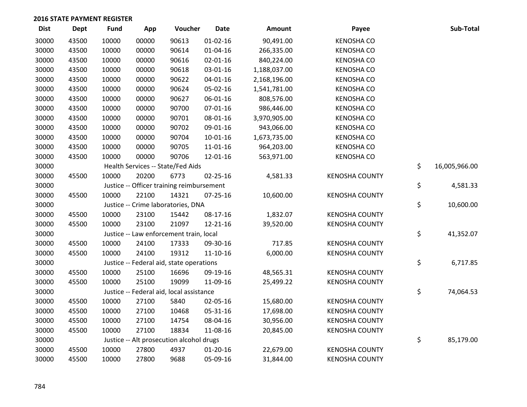| <b>Dist</b> | <b>Dept</b> | <b>Fund</b> | App   | Voucher                                   | <b>Date</b>    | Amount       | Payee                 | Sub-Total           |
|-------------|-------------|-------------|-------|-------------------------------------------|----------------|--------------|-----------------------|---------------------|
| 30000       | 43500       | 10000       | 00000 | 90613                                     | $01 - 02 - 16$ | 90,491.00    | <b>KENOSHA CO</b>     |                     |
| 30000       | 43500       | 10000       | 00000 | 90614                                     | 01-04-16       | 266,335.00   | <b>KENOSHA CO</b>     |                     |
| 30000       | 43500       | 10000       | 00000 | 90616                                     | $02 - 01 - 16$ | 840,224.00   | <b>KENOSHA CO</b>     |                     |
| 30000       | 43500       | 10000       | 00000 | 90618                                     | 03-01-16       | 1,188,037.00 | <b>KENOSHA CO</b>     |                     |
| 30000       | 43500       | 10000       | 00000 | 90622                                     | $04 - 01 - 16$ | 2,168,196.00 | <b>KENOSHA CO</b>     |                     |
| 30000       | 43500       | 10000       | 00000 | 90624                                     | 05-02-16       | 1,541,781.00 | <b>KENOSHA CO</b>     |                     |
| 30000       | 43500       | 10000       | 00000 | 90627                                     | 06-01-16       | 808,576.00   | <b>KENOSHA CO</b>     |                     |
| 30000       | 43500       | 10000       | 00000 | 90700                                     | $07 - 01 - 16$ | 986,446.00   | <b>KENOSHA CO</b>     |                     |
| 30000       | 43500       | 10000       | 00000 | 90701                                     | 08-01-16       | 3,970,905.00 | <b>KENOSHA CO</b>     |                     |
| 30000       | 43500       | 10000       | 00000 | 90702                                     | 09-01-16       | 943,066.00   | <b>KENOSHA CO</b>     |                     |
| 30000       | 43500       | 10000       | 00000 | 90704                                     | $10-01-16$     | 1,673,735.00 | <b>KENOSHA CO</b>     |                     |
| 30000       | 43500       | 10000       | 00000 | 90705                                     | 11-01-16       | 964,203.00   | <b>KENOSHA CO</b>     |                     |
| 30000       | 43500       | 10000       | 00000 | 90706                                     | 12-01-16       | 563,971.00   | <b>KENOSHA CO</b>     |                     |
| 30000       |             |             |       | Health Services -- State/Fed Aids         |                |              |                       | \$<br>16,005,966.00 |
| 30000       | 45500       | 10000       | 20200 | 6773                                      | $02 - 25 - 16$ | 4,581.33     | <b>KENOSHA COUNTY</b> |                     |
| 30000       |             |             |       | Justice -- Officer training reimbursement |                |              |                       | \$<br>4,581.33      |
| 30000       | 45500       | 10000       | 22100 | 14321                                     | 07-25-16       | 10,600.00    | <b>KENOSHA COUNTY</b> |                     |
| 30000       |             |             |       | Justice -- Crime laboratories, DNA        |                |              |                       | \$<br>10,600.00     |
| 30000       | 45500       | 10000       | 23100 | 15442                                     | 08-17-16       | 1,832.07     | <b>KENOSHA COUNTY</b> |                     |
| 30000       | 45500       | 10000       | 23100 | 21097                                     | 12-21-16       | 39,520.00    | <b>KENOSHA COUNTY</b> |                     |
| 30000       |             |             |       | Justice -- Law enforcement train, local   |                |              |                       | \$<br>41,352.07     |
| 30000       | 45500       | 10000       | 24100 | 17333                                     | 09-30-16       | 717.85       | <b>KENOSHA COUNTY</b> |                     |
| 30000       | 45500       | 10000       | 24100 | 19312                                     | $11 - 10 - 16$ | 6,000.00     | <b>KENOSHA COUNTY</b> |                     |
| 30000       |             |             |       | Justice -- Federal aid, state operations  |                |              |                       | \$<br>6,717.85      |
| 30000       | 45500       | 10000       | 25100 | 16696                                     | 09-19-16       | 48,565.31    | <b>KENOSHA COUNTY</b> |                     |
| 30000       | 45500       | 10000       | 25100 | 19099                                     | 11-09-16       | 25,499.22    | <b>KENOSHA COUNTY</b> |                     |
| 30000       |             |             |       | Justice -- Federal aid, local assistance  |                |              |                       | \$<br>74,064.53     |
| 30000       | 45500       | 10000       | 27100 | 5840                                      | 02-05-16       | 15,680.00    | <b>KENOSHA COUNTY</b> |                     |
| 30000       | 45500       | 10000       | 27100 | 10468                                     | 05-31-16       | 17,698.00    | <b>KENOSHA COUNTY</b> |                     |
| 30000       | 45500       | 10000       | 27100 | 14754                                     | 08-04-16       | 30,956.00    | <b>KENOSHA COUNTY</b> |                     |
| 30000       | 45500       | 10000       | 27100 | 18834                                     | 11-08-16       | 20,845.00    | <b>KENOSHA COUNTY</b> |                     |
| 30000       |             |             |       | Justice -- Alt prosecution alcohol drugs  |                |              |                       | \$<br>85,179.00     |
| 30000       | 45500       | 10000       | 27800 | 4937                                      | $01 - 20 - 16$ | 22,679.00    | <b>KENOSHA COUNTY</b> |                     |
| 30000       | 45500       | 10000       | 27800 | 9688                                      | 05-09-16       | 31,844.00    | <b>KENOSHA COUNTY</b> |                     |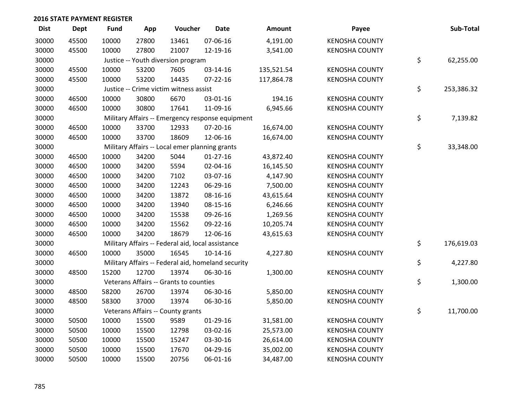| <b>Dist</b> | <b>Dept</b> | <b>Fund</b> | App   | Voucher                                           | <b>Date</b>                                        | <b>Amount</b> | Payee                 | Sub-Total        |
|-------------|-------------|-------------|-------|---------------------------------------------------|----------------------------------------------------|---------------|-----------------------|------------------|
| 30000       | 45500       | 10000       | 27800 | 13461                                             | 07-06-16                                           | 4,191.00      | <b>KENOSHA COUNTY</b> |                  |
| 30000       | 45500       | 10000       | 27800 | 21007                                             | 12-19-16                                           | 3,541.00      | <b>KENOSHA COUNTY</b> |                  |
| 30000       |             |             |       | Justice -- Youth diversion program                |                                                    |               |                       | \$<br>62,255.00  |
| 30000       | 45500       | 10000       | 53200 | 7605                                              | 03-14-16                                           | 135,521.54    | <b>KENOSHA COUNTY</b> |                  |
| 30000       | 45500       | 10000       | 53200 | 14435                                             | $07 - 22 - 16$                                     | 117,864.78    | <b>KENOSHA COUNTY</b> |                  |
| 30000       |             |             |       | Justice -- Crime victim witness assist            |                                                    |               |                       | \$<br>253,386.32 |
| 30000       | 46500       | 10000       | 30800 | 6670                                              | 03-01-16                                           | 194.16        | <b>KENOSHA COUNTY</b> |                  |
| 30000       | 46500       | 10000       | 30800 | 17641                                             | 11-09-16                                           | 6,945.66      | <b>KENOSHA COUNTY</b> |                  |
| 30000       |             |             |       |                                                   | Military Affairs -- Emergency response equipment   |               |                       | \$<br>7,139.82   |
| 30000       | 46500       | 10000       | 33700 | 12933                                             | 07-20-16                                           | 16,674.00     | <b>KENOSHA COUNTY</b> |                  |
| 30000       | 46500       | 10000       | 33700 | 18609                                             | 12-06-16                                           | 16,674.00     | <b>KENOSHA COUNTY</b> |                  |
| 30000       |             |             |       | Military Affairs -- Local emer planning grants    |                                                    |               |                       | \$<br>33,348.00  |
| 30000       | 46500       | 10000       | 34200 | 5044                                              | $01-27-16$                                         | 43,872.40     | <b>KENOSHA COUNTY</b> |                  |
| 30000       | 46500       | 10000       | 34200 | 5594                                              | 02-04-16                                           | 16,145.50     | <b>KENOSHA COUNTY</b> |                  |
| 30000       | 46500       | 10000       | 34200 | 7102                                              | 03-07-16                                           | 4,147.90      | <b>KENOSHA COUNTY</b> |                  |
| 30000       | 46500       | 10000       | 34200 | 12243                                             | 06-29-16                                           | 7,500.00      | <b>KENOSHA COUNTY</b> |                  |
| 30000       | 46500       | 10000       | 34200 | 13872                                             | 08-16-16                                           | 43,615.64     | <b>KENOSHA COUNTY</b> |                  |
| 30000       | 46500       | 10000       | 34200 | 13940                                             | 08-15-16                                           | 6,246.66      | <b>KENOSHA COUNTY</b> |                  |
| 30000       | 46500       | 10000       | 34200 | 15538                                             | 09-26-16                                           | 1,269.56      | <b>KENOSHA COUNTY</b> |                  |
| 30000       | 46500       | 10000       | 34200 | 15562                                             | 09-22-16                                           | 10,205.74     | <b>KENOSHA COUNTY</b> |                  |
| 30000       | 46500       | 10000       | 34200 | 18679                                             | 12-06-16                                           | 43,615.63     | <b>KENOSHA COUNTY</b> |                  |
| 30000       |             |             |       | Military Affairs -- Federal aid, local assistance |                                                    |               |                       | \$<br>176,619.03 |
| 30000       | 46500       | 10000       | 35000 | 16545                                             | $10-14-16$                                         | 4,227.80      | <b>KENOSHA COUNTY</b> |                  |
| 30000       |             |             |       |                                                   | Military Affairs -- Federal aid, homeland security |               |                       | \$<br>4,227.80   |
| 30000       | 48500       | 15200       | 12700 | 13974                                             | 06-30-16                                           | 1,300.00      | <b>KENOSHA COUNTY</b> |                  |
| 30000       |             |             |       | Veterans Affairs -- Grants to counties            |                                                    |               |                       | \$<br>1,300.00   |
| 30000       | 48500       | 58200       | 26700 | 13974                                             | 06-30-16                                           | 5,850.00      | <b>KENOSHA COUNTY</b> |                  |
| 30000       | 48500       | 58300       | 37000 | 13974                                             | 06-30-16                                           | 5,850.00      | <b>KENOSHA COUNTY</b> |                  |
| 30000       |             |             |       | Veterans Affairs -- County grants                 |                                                    |               |                       | \$<br>11,700.00  |
| 30000       | 50500       | 10000       | 15500 | 9589                                              | $01-29-16$                                         | 31,581.00     | <b>KENOSHA COUNTY</b> |                  |
| 30000       | 50500       | 10000       | 15500 | 12798                                             | 03-02-16                                           | 25,573.00     | <b>KENOSHA COUNTY</b> |                  |
| 30000       | 50500       | 10000       | 15500 | 15247                                             | 03-30-16                                           | 26,614.00     | <b>KENOSHA COUNTY</b> |                  |
| 30000       | 50500       | 10000       | 15500 | 17670                                             | 04-29-16                                           | 35,002.00     | <b>KENOSHA COUNTY</b> |                  |
| 30000       | 50500       | 10000       | 15500 | 20756                                             | 06-01-16                                           | 34,487.00     | <b>KENOSHA COUNTY</b> |                  |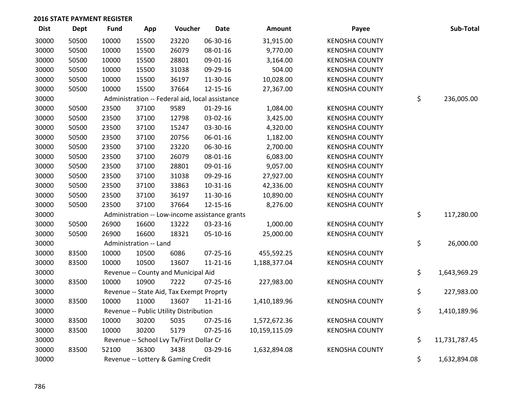| <b>Dist</b> | <b>Dept</b> | <b>Fund</b> | App                    | Voucher                                         | <b>Date</b>    | Amount        | Payee                 | Sub-Total           |
|-------------|-------------|-------------|------------------------|-------------------------------------------------|----------------|---------------|-----------------------|---------------------|
| 30000       | 50500       | 10000       | 15500                  | 23220                                           | 06-30-16       | 31,915.00     | <b>KENOSHA COUNTY</b> |                     |
| 30000       | 50500       | 10000       | 15500                  | 26079                                           | 08-01-16       | 9,770.00      | <b>KENOSHA COUNTY</b> |                     |
| 30000       | 50500       | 10000       | 15500                  | 28801                                           | 09-01-16       | 3,164.00      | <b>KENOSHA COUNTY</b> |                     |
| 30000       | 50500       | 10000       | 15500                  | 31038                                           | 09-29-16       | 504.00        | <b>KENOSHA COUNTY</b> |                     |
| 30000       | 50500       | 10000       | 15500                  | 36197                                           | 11-30-16       | 10,028.00     | <b>KENOSHA COUNTY</b> |                     |
| 30000       | 50500       | 10000       | 15500                  | 37664                                           | 12-15-16       | 27,367.00     | <b>KENOSHA COUNTY</b> |                     |
| 30000       |             |             |                        | Administration -- Federal aid, local assistance |                |               |                       | \$<br>236,005.00    |
| 30000       | 50500       | 23500       | 37100                  | 9589                                            | 01-29-16       | 1,084.00      | <b>KENOSHA COUNTY</b> |                     |
| 30000       | 50500       | 23500       | 37100                  | 12798                                           | 03-02-16       | 3,425.00      | <b>KENOSHA COUNTY</b> |                     |
| 30000       | 50500       | 23500       | 37100                  | 15247                                           | 03-30-16       | 4,320.00      | <b>KENOSHA COUNTY</b> |                     |
| 30000       | 50500       | 23500       | 37100                  | 20756                                           | 06-01-16       | 1,182.00      | <b>KENOSHA COUNTY</b> |                     |
| 30000       | 50500       | 23500       | 37100                  | 23220                                           | 06-30-16       | 2,700.00      | <b>KENOSHA COUNTY</b> |                     |
| 30000       | 50500       | 23500       | 37100                  | 26079                                           | 08-01-16       | 6,083.00      | <b>KENOSHA COUNTY</b> |                     |
| 30000       | 50500       | 23500       | 37100                  | 28801                                           | 09-01-16       | 9,057.00      | <b>KENOSHA COUNTY</b> |                     |
| 30000       | 50500       | 23500       | 37100                  | 31038                                           | 09-29-16       | 27,927.00     | <b>KENOSHA COUNTY</b> |                     |
| 30000       | 50500       | 23500       | 37100                  | 33863                                           | 10-31-16       | 42,336.00     | <b>KENOSHA COUNTY</b> |                     |
| 30000       | 50500       | 23500       | 37100                  | 36197                                           | 11-30-16       | 10,890.00     | <b>KENOSHA COUNTY</b> |                     |
| 30000       | 50500       | 23500       | 37100                  | 37664                                           | 12-15-16       | 8,276.00      | <b>KENOSHA COUNTY</b> |                     |
| 30000       |             |             |                        | Administration -- Low-income assistance grants  |                |               |                       | \$<br>117,280.00    |
| 30000       | 50500       | 26900       | 16600                  | 13222                                           | 03-23-16       | 1,000.00      | <b>KENOSHA COUNTY</b> |                     |
| 30000       | 50500       | 26900       | 16600                  | 18321                                           | 05-10-16       | 25,000.00     | <b>KENOSHA COUNTY</b> |                     |
| 30000       |             |             | Administration -- Land |                                                 |                |               |                       | \$<br>26,000.00     |
| 30000       | 83500       | 10000       | 10500                  | 6086                                            | $07 - 25 - 16$ | 455,592.25    | <b>KENOSHA COUNTY</b> |                     |
| 30000       | 83500       | 10000       | 10500                  | 13607                                           | $11 - 21 - 16$ | 1,188,377.04  | <b>KENOSHA COUNTY</b> |                     |
| 30000       |             |             |                        | Revenue -- County and Municipal Aid             |                |               |                       | \$<br>1,643,969.29  |
| 30000       | 83500       | 10000       | 10900                  | 7222                                            | 07-25-16       | 227,983.00    | <b>KENOSHA COUNTY</b> |                     |
| 30000       |             |             |                        | Revenue -- State Aid, Tax Exempt Proprty        |                |               |                       | \$<br>227,983.00    |
| 30000       | 83500       | 10000       | 11000                  | 13607                                           | $11 - 21 - 16$ | 1,410,189.96  | <b>KENOSHA COUNTY</b> |                     |
| 30000       |             |             |                        | Revenue -- Public Utility Distribution          |                |               |                       | \$<br>1,410,189.96  |
| 30000       | 83500       | 10000       | 30200                  | 5035                                            | 07-25-16       | 1,572,672.36  | <b>KENOSHA COUNTY</b> |                     |
| 30000       | 83500       | 10000       | 30200                  | 5179                                            | 07-25-16       | 10,159,115.09 | <b>KENOSHA COUNTY</b> |                     |
| 30000       |             |             |                        | Revenue -- School Lvy Tx/First Dollar Cr        |                |               |                       | \$<br>11,731,787.45 |
| 30000       | 83500       | 52100       | 36300                  | 3438                                            | 03-29-16       | 1,632,894.08  | <b>KENOSHA COUNTY</b> |                     |
| 30000       |             |             |                        | Revenue -- Lottery & Gaming Credit              |                |               |                       | \$<br>1,632,894.08  |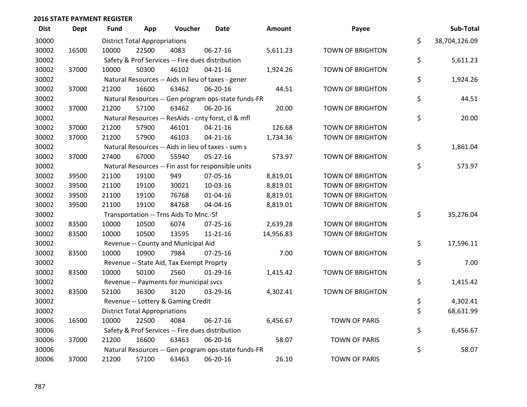| <b>Dist</b> | <b>Dept</b> | <b>Fund</b> | App                                  | Voucher                                             | Date           | <b>Amount</b> | Payee                   | Sub-Total           |
|-------------|-------------|-------------|--------------------------------------|-----------------------------------------------------|----------------|---------------|-------------------------|---------------------|
| 30000       |             |             | <b>District Total Appropriations</b> |                                                     |                |               |                         | \$<br>38,704,126.09 |
| 30002       | 16500       | 10000       | 22500                                | 4083                                                | 06-27-16       | 5,611.23      | <b>TOWN OF BRIGHTON</b> |                     |
| 30002       |             |             |                                      | Safety & Prof Services -- Fire dues distribution    |                |               |                         | \$<br>5,611.23      |
| 30002       | 37000       | 10000       | 50300                                | 46102                                               | $04 - 21 - 16$ | 1,924.26      | <b>TOWN OF BRIGHTON</b> |                     |
| 30002       |             |             |                                      | Natural Resources -- Aids in lieu of taxes - gener  |                |               |                         | \$<br>1,924.26      |
| 30002       | 37000       | 21200       | 16600                                | 63462                                               | 06-20-16       | 44.51         | <b>TOWN OF BRIGHTON</b> |                     |
| 30002       |             |             |                                      | Natural Resources -- Gen program ops-state funds-FR |                |               |                         | \$<br>44.51         |
| 30002       | 37000       | 21200       | 57100                                | 63462                                               | 06-20-16       | 20.00         | <b>TOWN OF BRIGHTON</b> |                     |
| 30002       |             |             |                                      | Natural Resources -- ResAids - cnty forst, cl & mfl |                |               |                         | \$<br>20.00         |
| 30002       | 37000       | 21200       | 57900                                | 46101                                               | $04 - 21 - 16$ | 126.68        | <b>TOWN OF BRIGHTON</b> |                     |
| 30002       | 37000       | 21200       | 57900                                | 46103                                               | $04 - 21 - 16$ | 1,734.36      | <b>TOWN OF BRIGHTON</b> |                     |
| 30002       |             |             |                                      | Natural Resources -- Aids in lieu of taxes - sum s  |                |               |                         | \$<br>1,861.04      |
| 30002       | 37000       | 27400       | 67000                                | 55940                                               | $05-27-16$     | 573.97        | <b>TOWN OF BRIGHTON</b> |                     |
| 30002       |             |             |                                      | Natural Resources -- Fin asst for responsible units |                |               |                         | \$<br>573.97        |
| 30002       | 39500       | 21100       | 19100                                | 949                                                 | 07-05-16       | 8,819.01      | <b>TOWN OF BRIGHTON</b> |                     |
| 30002       | 39500       | 21100       | 19100                                | 30021                                               | 10-03-16       | 8,819.01      | <b>TOWN OF BRIGHTON</b> |                     |
| 30002       | 39500       | 21100       | 19100                                | 76768                                               | $01 - 04 - 16$ | 8,819.01      | <b>TOWN OF BRIGHTON</b> |                     |
| 30002       | 39500       | 21100       | 19100                                | 84768                                               | 04-04-16       | 8,819.01      | <b>TOWN OF BRIGHTON</b> |                     |
| 30002       |             |             |                                      | Transportation -- Trns Aids To Mnc.-Sf              |                |               |                         | \$<br>35,276.04     |
| 30002       | 83500       | 10000       | 10500                                | 6074                                                | $07 - 25 - 16$ | 2,639.28      | <b>TOWN OF BRIGHTON</b> |                     |
| 30002       | 83500       | 10000       | 10500                                | 13595                                               | $11 - 21 - 16$ | 14,956.83     | <b>TOWN OF BRIGHTON</b> |                     |
| 30002       |             |             |                                      | Revenue -- County and Municipal Aid                 |                |               |                         | \$<br>17,596.11     |
| 30002       | 83500       | 10000       | 10900                                | 7984                                                | 07-25-16       | 7.00          | <b>TOWN OF BRIGHTON</b> |                     |
| 30002       |             |             |                                      | Revenue -- State Aid, Tax Exempt Proprty            |                |               |                         | \$<br>7.00          |
| 30002       | 83500       | 10000       | 50100                                | 2560                                                | $01-29-16$     | 1,415.42      | <b>TOWN OF BRIGHTON</b> |                     |
| 30002       |             |             |                                      | Revenue -- Payments for municipal svcs              |                |               |                         | \$<br>1,415.42      |
| 30002       | 83500       | 52100       | 36300                                | 3120                                                | 03-29-16       | 4,302.41      | <b>TOWN OF BRIGHTON</b> |                     |
| 30002       |             |             |                                      | Revenue -- Lottery & Gaming Credit                  |                |               |                         | \$<br>4,302.41      |
| 30002       |             |             | <b>District Total Appropriations</b> |                                                     |                |               |                         | \$<br>68,631.99     |
| 30006       | 16500       | 10000       | 22500                                | 4084                                                | 06-27-16       | 6,456.67      | <b>TOWN OF PARIS</b>    |                     |
| 30006       |             |             |                                      | Safety & Prof Services -- Fire dues distribution    |                |               |                         | \$<br>6,456.67      |
| 30006       | 37000       | 21200       | 16600                                | 63463                                               | 06-20-16       | 58.07         | <b>TOWN OF PARIS</b>    |                     |
| 30006       |             |             |                                      | Natural Resources -- Gen program ops-state funds-FR |                |               |                         | \$<br>58.07         |
| 30006       | 37000       | 21200       | 57100                                | 63463                                               | 06-20-16       | 26.10         | <b>TOWN OF PARIS</b>    |                     |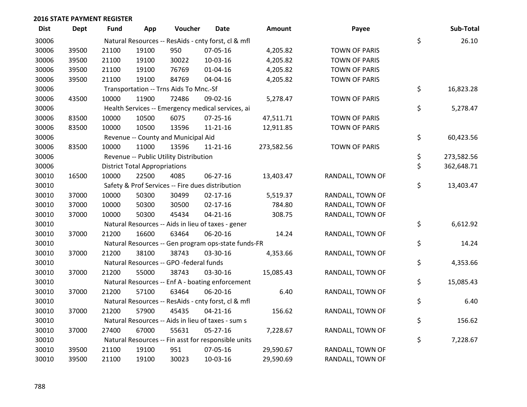| <b>Dist</b> | <b>Dept</b> | Fund  | App                                  | Voucher                                 | <b>Date</b>                                         | <b>Amount</b> | Payee                | Sub-Total        |
|-------------|-------------|-------|--------------------------------------|-----------------------------------------|-----------------------------------------------------|---------------|----------------------|------------------|
| 30006       |             |       |                                      |                                         | Natural Resources -- ResAids - cnty forst, cl & mfl |               |                      | \$<br>26.10      |
| 30006       | 39500       | 21100 | 19100                                | 950                                     | 07-05-16                                            | 4,205.82      | <b>TOWN OF PARIS</b> |                  |
| 30006       | 39500       | 21100 | 19100                                | 30022                                   | 10-03-16                                            | 4,205.82      | <b>TOWN OF PARIS</b> |                  |
| 30006       | 39500       | 21100 | 19100                                | 76769                                   | $01 - 04 - 16$                                      | 4,205.82      | <b>TOWN OF PARIS</b> |                  |
| 30006       | 39500       | 21100 | 19100                                | 84769                                   | 04-04-16                                            | 4,205.82      | <b>TOWN OF PARIS</b> |                  |
| 30006       |             |       |                                      | Transportation -- Trns Aids To Mnc.-Sf  |                                                     |               |                      | \$<br>16,823.28  |
| 30006       | 43500       | 10000 | 11900                                | 72486                                   | 09-02-16                                            | 5,278.47      | TOWN OF PARIS        |                  |
| 30006       |             |       |                                      |                                         | Health Services -- Emergency medical services, ai   |               |                      | \$<br>5,278.47   |
| 30006       | 83500       | 10000 | 10500                                | 6075                                    | $07 - 25 - 16$                                      | 47,511.71     | <b>TOWN OF PARIS</b> |                  |
| 30006       | 83500       | 10000 | 10500                                | 13596                                   | $11 - 21 - 16$                                      | 12,911.85     | <b>TOWN OF PARIS</b> |                  |
| 30006       |             |       |                                      | Revenue -- County and Municipal Aid     |                                                     |               |                      | \$<br>60,423.56  |
| 30006       | 83500       | 10000 | 11000                                | 13596                                   | $11 - 21 - 16$                                      | 273,582.56    | <b>TOWN OF PARIS</b> |                  |
| 30006       |             |       |                                      | Revenue -- Public Utility Distribution  |                                                     |               |                      | \$<br>273,582.56 |
| 30006       |             |       | <b>District Total Appropriations</b> |                                         |                                                     |               |                      | \$<br>362,648.71 |
| 30010       | 16500       | 10000 | 22500                                | 4085                                    | 06-27-16                                            | 13,403.47     | RANDALL, TOWN OF     |                  |
| 30010       |             |       |                                      |                                         | Safety & Prof Services -- Fire dues distribution    |               |                      | \$<br>13,403.47  |
| 30010       | 37000       | 10000 | 50300                                | 30499                                   | $02 - 17 - 16$                                      | 5,519.37      | RANDALL, TOWN OF     |                  |
| 30010       | 37000       | 10000 | 50300                                | 30500                                   | $02 - 17 - 16$                                      | 784.80        | RANDALL, TOWN OF     |                  |
| 30010       | 37000       | 10000 | 50300                                | 45434                                   | $04 - 21 - 16$                                      | 308.75        | RANDALL, TOWN OF     |                  |
| 30010       |             |       |                                      |                                         | Natural Resources -- Aids in lieu of taxes - gener  |               |                      | \$<br>6,612.92   |
| 30010       | 37000       | 21200 | 16600                                | 63464                                   | 06-20-16                                            | 14.24         | RANDALL, TOWN OF     |                  |
| 30010       |             |       |                                      |                                         | Natural Resources -- Gen program ops-state funds-FR |               |                      | \$<br>14.24      |
| 30010       | 37000       | 21200 | 38100                                | 38743                                   | 03-30-16                                            | 4,353.66      | RANDALL, TOWN OF     |                  |
| 30010       |             |       |                                      | Natural Resources -- GPO -federal funds |                                                     |               |                      | \$<br>4,353.66   |
| 30010       | 37000       | 21200 | 55000                                | 38743                                   | 03-30-16                                            | 15,085.43     | RANDALL, TOWN OF     |                  |
| 30010       |             |       |                                      |                                         | Natural Resources -- Enf A - boating enforcement    |               |                      | \$<br>15,085.43  |
| 30010       | 37000       | 21200 | 57100                                | 63464                                   | 06-20-16                                            | 6.40          | RANDALL, TOWN OF     |                  |
| 30010       |             |       |                                      |                                         | Natural Resources -- ResAids - cnty forst, cl & mfl |               |                      | \$<br>6.40       |
| 30010       | 37000       | 21200 | 57900                                | 45435                                   | $04 - 21 - 16$                                      | 156.62        | RANDALL, TOWN OF     |                  |
| 30010       |             |       |                                      |                                         | Natural Resources -- Aids in lieu of taxes - sum s  |               |                      | \$<br>156.62     |
| 30010       | 37000       | 27400 | 67000                                | 55631                                   | 05-27-16                                            | 7,228.67      | RANDALL, TOWN OF     |                  |
| 30010       |             |       |                                      |                                         | Natural Resources -- Fin asst for responsible units |               |                      | \$<br>7,228.67   |
| 30010       | 39500       | 21100 | 19100                                | 951                                     | 07-05-16                                            | 29,590.67     | RANDALL, TOWN OF     |                  |
| 30010       | 39500       | 21100 | 19100                                | 30023                                   | 10-03-16                                            | 29,590.69     | RANDALL, TOWN OF     |                  |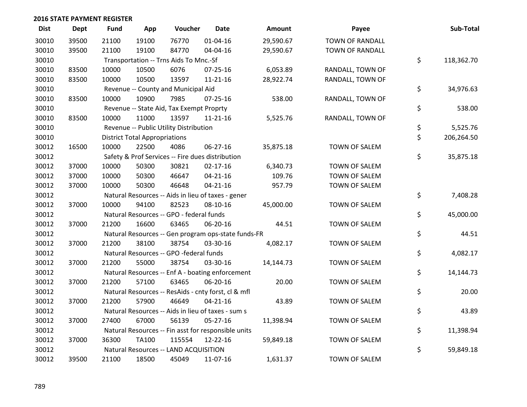| <b>Dist</b> | <b>Dept</b> | <b>Fund</b> | App                                  | Voucher                                             | <b>Date</b>    | Amount    | Payee                  | Sub-Total        |
|-------------|-------------|-------------|--------------------------------------|-----------------------------------------------------|----------------|-----------|------------------------|------------------|
| 30010       | 39500       | 21100       | 19100                                | 76770                                               | $01 - 04 - 16$ | 29,590.67 | <b>TOWN OF RANDALL</b> |                  |
| 30010       | 39500       | 21100       | 19100                                | 84770                                               | 04-04-16       | 29,590.67 | TOWN OF RANDALL        |                  |
| 30010       |             |             |                                      | Transportation -- Trns Aids To Mnc.-Sf              |                |           |                        | \$<br>118,362.70 |
| 30010       | 83500       | 10000       | 10500                                | 6076                                                | 07-25-16       | 6,053.89  | RANDALL, TOWN OF       |                  |
| 30010       | 83500       | 10000       | 10500                                | 13597                                               | $11 - 21 - 16$ | 28,922.74 | RANDALL, TOWN OF       |                  |
| 30010       |             |             |                                      | Revenue -- County and Municipal Aid                 |                |           |                        | \$<br>34,976.63  |
| 30010       | 83500       | 10000       | 10900                                | 7985                                                | $07 - 25 - 16$ | 538.00    | RANDALL, TOWN OF       |                  |
| 30010       |             |             |                                      | Revenue -- State Aid, Tax Exempt Proprty            |                |           |                        | \$<br>538.00     |
| 30010       | 83500       | 10000       | 11000                                | 13597                                               | $11 - 21 - 16$ | 5,525.76  | RANDALL, TOWN OF       |                  |
| 30010       |             |             |                                      | Revenue -- Public Utility Distribution              |                |           |                        | \$<br>5,525.76   |
| 30010       |             |             | <b>District Total Appropriations</b> |                                                     |                |           |                        | \$<br>206,264.50 |
| 30012       | 16500       | 10000       | 22500                                | 4086                                                | 06-27-16       | 35,875.18 | TOWN OF SALEM          |                  |
| 30012       |             |             |                                      | Safety & Prof Services -- Fire dues distribution    |                |           |                        | \$<br>35,875.18  |
| 30012       | 37000       | 10000       | 50300                                | 30821                                               | $02 - 17 - 16$ | 6,340.73  | TOWN OF SALEM          |                  |
| 30012       | 37000       | 10000       | 50300                                | 46647                                               | $04 - 21 - 16$ | 109.76    | TOWN OF SALEM          |                  |
| 30012       | 37000       | 10000       | 50300                                | 46648                                               | $04 - 21 - 16$ | 957.79    | TOWN OF SALEM          |                  |
| 30012       |             |             |                                      | Natural Resources -- Aids in lieu of taxes - gener  |                |           |                        | \$<br>7,408.28   |
| 30012       | 37000       | 10000       | 94100                                | 82523                                               | 08-10-16       | 45,000.00 | TOWN OF SALEM          |                  |
| 30012       |             |             |                                      | Natural Resources -- GPO - federal funds            |                |           |                        | \$<br>45,000.00  |
| 30012       | 37000       | 21200       | 16600                                | 63465                                               | 06-20-16       | 44.51     | TOWN OF SALEM          |                  |
| 30012       |             |             |                                      | Natural Resources -- Gen program ops-state funds-FR |                |           |                        | \$<br>44.51      |
| 30012       | 37000       | 21200       | 38100                                | 38754                                               | 03-30-16       | 4,082.17  | TOWN OF SALEM          |                  |
| 30012       |             |             |                                      | Natural Resources -- GPO -federal funds             |                |           |                        | \$<br>4,082.17   |
| 30012       | 37000       | 21200       | 55000                                | 38754                                               | 03-30-16       | 14,144.73 | <b>TOWN OF SALEM</b>   |                  |
| 30012       |             |             |                                      | Natural Resources -- Enf A - boating enforcement    |                |           |                        | \$<br>14,144.73  |
| 30012       | 37000       | 21200       | 57100                                | 63465                                               | 06-20-16       | 20.00     | TOWN OF SALEM          |                  |
| 30012       |             |             |                                      | Natural Resources -- ResAids - cnty forst, cl & mfl |                |           |                        | \$<br>20.00      |
| 30012       | 37000       | 21200       | 57900                                | 46649                                               | $04 - 21 - 16$ | 43.89     | TOWN OF SALEM          |                  |
| 30012       |             |             |                                      | Natural Resources -- Aids in lieu of taxes - sum s  |                |           |                        | \$<br>43.89      |
| 30012       | 37000       | 27400       | 67000                                | 56139                                               | 05-27-16       | 11,398.94 | TOWN OF SALEM          |                  |
| 30012       |             |             |                                      | Natural Resources -- Fin asst for responsible units |                |           |                        | \$<br>11,398.94  |
| 30012       | 37000       | 36300       | <b>TA100</b>                         | 115554                                              | 12-22-16       | 59,849.18 | TOWN OF SALEM          |                  |
| 30012       |             |             |                                      | Natural Resources -- LAND ACQUISITION               |                |           |                        | \$<br>59,849.18  |
| 30012       | 39500       | 21100       | 18500                                | 45049                                               | 11-07-16       | 1,631.37  | <b>TOWN OF SALEM</b>   |                  |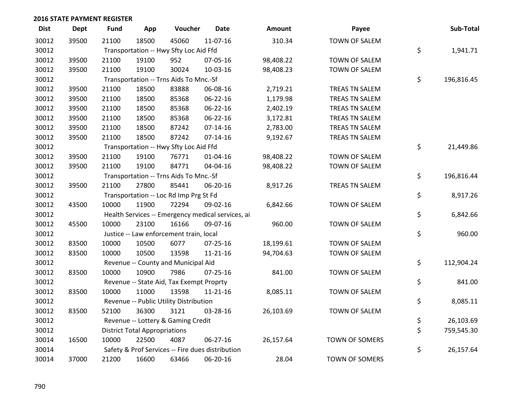| <b>Dist</b> | <b>Dept</b> | <b>Fund</b> | App                                  | Voucher                                           | <b>Date</b>    | Amount    | Payee                 | Sub-Total        |
|-------------|-------------|-------------|--------------------------------------|---------------------------------------------------|----------------|-----------|-----------------------|------------------|
| 30012       | 39500       | 21100       | 18500                                | 45060                                             | 11-07-16       | 310.34    | TOWN OF SALEM         |                  |
| 30012       |             |             |                                      | Transportation -- Hwy Sfty Loc Aid Ffd            |                |           |                       | \$<br>1,941.71   |
| 30012       | 39500       | 21100       | 19100                                | 952                                               | 07-05-16       | 98,408.22 | TOWN OF SALEM         |                  |
| 30012       | 39500       | 21100       | 19100                                | 30024                                             | 10-03-16       | 98,408.23 | TOWN OF SALEM         |                  |
| 30012       |             |             |                                      | Transportation -- Trns Aids To Mnc.-Sf            |                |           |                       | \$<br>196,816.45 |
| 30012       | 39500       | 21100       | 18500                                | 83888                                             | 06-08-16       | 2,719.21  | TREAS TN SALEM        |                  |
| 30012       | 39500       | 21100       | 18500                                | 85368                                             | 06-22-16       | 1,179.98  | TREAS TN SALEM        |                  |
| 30012       | 39500       | 21100       | 18500                                | 85368                                             | 06-22-16       | 2,402.19  | TREAS TN SALEM        |                  |
| 30012       | 39500       | 21100       | 18500                                | 85368                                             | 06-22-16       | 3,172.81  | TREAS TN SALEM        |                  |
| 30012       | 39500       | 21100       | 18500                                | 87242                                             | $07-14-16$     | 2,783.00  | TREAS TN SALEM        |                  |
| 30012       | 39500       | 21100       | 18500                                | 87242                                             | $07-14-16$     | 9,192.67  | TREAS TN SALEM        |                  |
| 30012       |             |             |                                      | Transportation -- Hwy Sfty Loc Aid Ffd            |                |           |                       | \$<br>21,449.86  |
| 30012       | 39500       | 21100       | 19100                                | 76771                                             | 01-04-16       | 98,408.22 | TOWN OF SALEM         |                  |
| 30012       | 39500       | 21100       | 19100                                | 84771                                             | 04-04-16       | 98,408.22 | TOWN OF SALEM         |                  |
| 30012       |             |             |                                      | Transportation -- Trns Aids To Mnc.-Sf            |                |           |                       | \$<br>196,816.44 |
| 30012       | 39500       | 21100       | 27800                                | 85441                                             | 06-20-16       | 8,917.26  | TREAS TN SALEM        |                  |
| 30012       |             |             |                                      | Transportation -- Loc Rd Imp Prg St Fd            |                |           |                       | \$<br>8,917.26   |
| 30012       | 43500       | 10000       | 11900                                | 72294                                             | 09-02-16       | 6,842.66  | TOWN OF SALEM         |                  |
| 30012       |             |             |                                      | Health Services -- Emergency medical services, ai |                |           |                       | \$<br>6,842.66   |
| 30012       | 45500       | 10000       | 23100                                | 16166                                             | 09-07-16       | 960.00    | TOWN OF SALEM         |                  |
| 30012       |             |             |                                      | Justice -- Law enforcement train, local           |                |           |                       | \$<br>960.00     |
| 30012       | 83500       | 10000       | 10500                                | 6077                                              | 07-25-16       | 18,199.61 | TOWN OF SALEM         |                  |
| 30012       | 83500       | 10000       | 10500                                | 13598                                             | 11-21-16       | 94,704.63 | TOWN OF SALEM         |                  |
| 30012       |             |             |                                      | Revenue -- County and Municipal Aid               |                |           |                       | \$<br>112,904.24 |
| 30012       | 83500       | 10000       | 10900                                | 7986                                              | 07-25-16       | 841.00    | TOWN OF SALEM         |                  |
| 30012       |             |             |                                      | Revenue -- State Aid, Tax Exempt Proprty          |                |           |                       | \$<br>841.00     |
| 30012       | 83500       | 10000       | 11000                                | 13598                                             | $11 - 21 - 16$ | 8,085.11  | TOWN OF SALEM         |                  |
| 30012       |             |             |                                      | Revenue -- Public Utility Distribution            |                |           |                       | \$<br>8,085.11   |
| 30012       | 83500       | 52100       | 36300                                | 3121                                              | 03-28-16       | 26,103.69 | TOWN OF SALEM         |                  |
| 30012       |             |             |                                      | Revenue -- Lottery & Gaming Credit                |                |           |                       | \$<br>26,103.69  |
| 30012       |             |             | <b>District Total Appropriations</b> |                                                   |                |           |                       | \$<br>759,545.30 |
| 30014       | 16500       | 10000       | 22500                                | 4087                                              | 06-27-16       | 26,157.64 | TOWN OF SOMERS        |                  |
| 30014       |             |             |                                      | Safety & Prof Services -- Fire dues distribution  |                |           |                       | \$<br>26,157.64  |
| 30014       | 37000       | 21200       | 16600                                | 63466                                             | 06-20-16       | 28.04     | <b>TOWN OF SOMERS</b> |                  |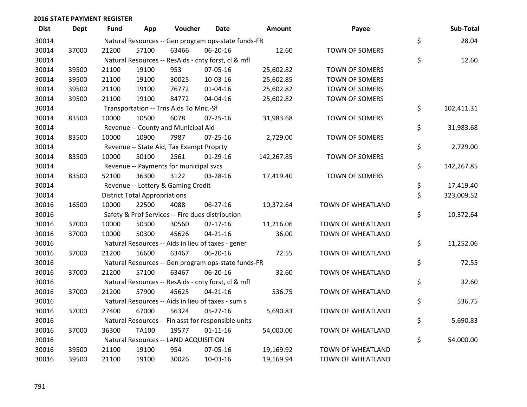| <b>Dist</b> | <b>Dept</b> | <b>Fund</b> | App                                  | Voucher                                  | <b>Date</b>                                         | <b>Amount</b> | Payee                 | Sub-Total        |
|-------------|-------------|-------------|--------------------------------------|------------------------------------------|-----------------------------------------------------|---------------|-----------------------|------------------|
| 30014       |             |             |                                      |                                          | Natural Resources -- Gen program ops-state funds-FR |               |                       | \$<br>28.04      |
| 30014       | 37000       | 21200       | 57100                                | 63466                                    | 06-20-16                                            | 12.60         | TOWN OF SOMERS        |                  |
| 30014       |             |             |                                      |                                          | Natural Resources -- ResAids - cnty forst, cl & mfl |               |                       | \$<br>12.60      |
| 30014       | 39500       | 21100       | 19100                                | 953                                      | 07-05-16                                            | 25,602.82     | <b>TOWN OF SOMERS</b> |                  |
| 30014       | 39500       | 21100       | 19100                                | 30025                                    | 10-03-16                                            | 25,602.85     | <b>TOWN OF SOMERS</b> |                  |
| 30014       | 39500       | 21100       | 19100                                | 76772                                    | $01 - 04 - 16$                                      | 25,602.82     | TOWN OF SOMERS        |                  |
| 30014       | 39500       | 21100       | 19100                                | 84772                                    | 04-04-16                                            | 25,602.82     | TOWN OF SOMERS        |                  |
| 30014       |             |             |                                      | Transportation -- Trns Aids To Mnc.-Sf   |                                                     |               |                       | \$<br>102,411.31 |
| 30014       | 83500       | 10000       | 10500                                | 6078                                     | $07 - 25 - 16$                                      | 31,983.68     | <b>TOWN OF SOMERS</b> |                  |
| 30014       |             |             |                                      | Revenue -- County and Municipal Aid      |                                                     |               |                       | \$<br>31,983.68  |
| 30014       | 83500       | 10000       | 10900                                | 7987                                     | $07 - 25 - 16$                                      | 2,729.00      | TOWN OF SOMERS        |                  |
| 30014       |             |             |                                      | Revenue -- State Aid, Tax Exempt Proprty |                                                     |               |                       | \$<br>2,729.00   |
| 30014       | 83500       | 10000       | 50100                                | 2561                                     | $01-29-16$                                          | 142,267.85    | TOWN OF SOMERS        |                  |
| 30014       |             |             |                                      | Revenue -- Payments for municipal svcs   |                                                     |               |                       | \$<br>142,267.85 |
| 30014       | 83500       | 52100       | 36300                                | 3122                                     | 03-28-16                                            | 17,419.40     | TOWN OF SOMERS        |                  |
| 30014       |             |             |                                      | Revenue -- Lottery & Gaming Credit       |                                                     |               |                       | \$<br>17,419.40  |
| 30014       |             |             | <b>District Total Appropriations</b> |                                          |                                                     |               |                       | \$<br>323,009.52 |
| 30016       | 16500       | 10000       | 22500                                | 4088                                     | 06-27-16                                            | 10,372.64     | TOWN OF WHEATLAND     |                  |
| 30016       |             |             |                                      |                                          | Safety & Prof Services -- Fire dues distribution    |               |                       | \$<br>10,372.64  |
| 30016       | 37000       | 10000       | 50300                                | 30560                                    | $02 - 17 - 16$                                      | 11,216.06     | TOWN OF WHEATLAND     |                  |
| 30016       | 37000       | 10000       | 50300                                | 45626                                    | $04 - 21 - 16$                                      | 36.00         | TOWN OF WHEATLAND     |                  |
| 30016       |             |             |                                      |                                          | Natural Resources -- Aids in lieu of taxes - gener  |               |                       | \$<br>11,252.06  |
| 30016       | 37000       | 21200       | 16600                                | 63467                                    | 06-20-16                                            | 72.55         | TOWN OF WHEATLAND     |                  |
| 30016       |             |             |                                      |                                          | Natural Resources -- Gen program ops-state funds-FR |               |                       | \$<br>72.55      |
| 30016       | 37000       | 21200       | 57100                                | 63467                                    | 06-20-16                                            | 32.60         | TOWN OF WHEATLAND     |                  |
| 30016       |             |             |                                      |                                          | Natural Resources -- ResAids - cnty forst, cl & mfl |               |                       | \$<br>32.60      |
| 30016       | 37000       | 21200       | 57900                                | 45625                                    | $04 - 21 - 16$                                      | 536.75        | TOWN OF WHEATLAND     |                  |
| 30016       |             |             |                                      |                                          | Natural Resources -- Aids in lieu of taxes - sum s  |               |                       | \$<br>536.75     |
| 30016       | 37000       | 27400       | 67000                                | 56324                                    | $05 - 27 - 16$                                      | 5,690.83      | TOWN OF WHEATLAND     |                  |
| 30016       |             |             |                                      |                                          | Natural Resources -- Fin asst for responsible units |               |                       | \$<br>5,690.83   |
| 30016       | 37000       | 36300       | <b>TA100</b>                         | 19577                                    | $01 - 11 - 16$                                      | 54,000.00     | TOWN OF WHEATLAND     |                  |
| 30016       |             |             |                                      | Natural Resources -- LAND ACQUISITION    |                                                     |               |                       | \$<br>54,000.00  |
| 30016       | 39500       | 21100       | 19100                                | 954                                      | 07-05-16                                            | 19,169.92     | TOWN OF WHEATLAND     |                  |
| 30016       | 39500       | 21100       | 19100                                | 30026                                    | 10-03-16                                            | 19,169.94     | TOWN OF WHEATLAND     |                  |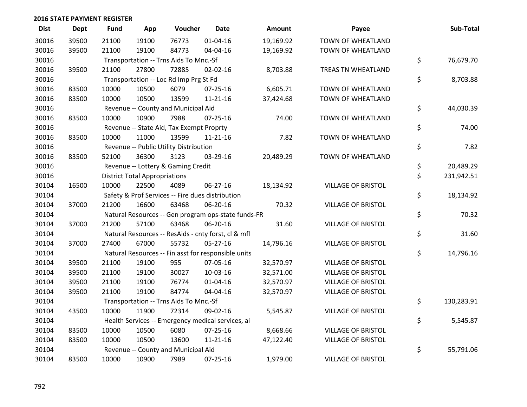| <b>Dist</b> | <b>Dept</b> | <b>Fund</b> | App                                  | Voucher                                             | <b>Date</b>    | Amount    | Payee                     | Sub-Total        |
|-------------|-------------|-------------|--------------------------------------|-----------------------------------------------------|----------------|-----------|---------------------------|------------------|
| 30016       | 39500       | 21100       | 19100                                | 76773                                               | $01 - 04 - 16$ | 19,169.92 | TOWN OF WHEATLAND         |                  |
| 30016       | 39500       | 21100       | 19100                                | 84773                                               | 04-04-16       | 19,169.92 | TOWN OF WHEATLAND         |                  |
| 30016       |             |             |                                      | Transportation -- Trns Aids To Mnc.-Sf              |                |           |                           | \$<br>76,679.70  |
| 30016       | 39500       | 21100       | 27800                                | 72885                                               | 02-02-16       | 8,703.88  | TREAS TN WHEATLAND        |                  |
| 30016       |             |             |                                      | Transportation -- Loc Rd Imp Prg St Fd              |                |           |                           | \$<br>8,703.88   |
| 30016       | 83500       | 10000       | 10500                                | 6079                                                | $07 - 25 - 16$ | 6,605.71  | TOWN OF WHEATLAND         |                  |
| 30016       | 83500       | 10000       | 10500                                | 13599                                               | $11 - 21 - 16$ | 37,424.68 | TOWN OF WHEATLAND         |                  |
| 30016       |             |             |                                      | Revenue -- County and Municipal Aid                 |                |           |                           | \$<br>44,030.39  |
| 30016       | 83500       | 10000       | 10900                                | 7988                                                | $07 - 25 - 16$ | 74.00     | TOWN OF WHEATLAND         |                  |
| 30016       |             |             |                                      | Revenue -- State Aid, Tax Exempt Proprty            |                |           |                           | \$<br>74.00      |
| 30016       | 83500       | 10000       | 11000                                | 13599                                               | $11 - 21 - 16$ | 7.82      | TOWN OF WHEATLAND         |                  |
| 30016       |             |             |                                      | Revenue -- Public Utility Distribution              |                |           |                           | \$<br>7.82       |
| 30016       | 83500       | 52100       | 36300                                | 3123                                                | 03-29-16       | 20,489.29 | TOWN OF WHEATLAND         |                  |
| 30016       |             |             |                                      | Revenue -- Lottery & Gaming Credit                  |                |           |                           | \$<br>20,489.29  |
| 30016       |             |             | <b>District Total Appropriations</b> |                                                     |                |           |                           | \$<br>231,942.51 |
| 30104       | 16500       | 10000       | 22500                                | 4089                                                | 06-27-16       | 18,134.92 | <b>VILLAGE OF BRISTOL</b> |                  |
| 30104       |             |             |                                      | Safety & Prof Services -- Fire dues distribution    |                |           |                           | \$<br>18,134.92  |
| 30104       | 37000       | 21200       | 16600                                | 63468                                               | 06-20-16       | 70.32     | <b>VILLAGE OF BRISTOL</b> |                  |
| 30104       |             |             |                                      | Natural Resources -- Gen program ops-state funds-FR |                |           |                           | \$<br>70.32      |
| 30104       | 37000       | 21200       | 57100                                | 63468                                               | 06-20-16       | 31.60     | <b>VILLAGE OF BRISTOL</b> |                  |
| 30104       |             |             |                                      | Natural Resources -- ResAids - cnty forst, cl & mfl |                |           |                           | \$<br>31.60      |
| 30104       | 37000       | 27400       | 67000                                | 55732                                               | $05 - 27 - 16$ | 14,796.16 | <b>VILLAGE OF BRISTOL</b> |                  |
| 30104       |             |             |                                      | Natural Resources -- Fin asst for responsible units |                |           |                           | \$<br>14,796.16  |
| 30104       | 39500       | 21100       | 19100                                | 955                                                 | 07-05-16       | 32,570.97 | <b>VILLAGE OF BRISTOL</b> |                  |
| 30104       | 39500       | 21100       | 19100                                | 30027                                               | 10-03-16       | 32,571.00 | <b>VILLAGE OF BRISTOL</b> |                  |
| 30104       | 39500       | 21100       | 19100                                | 76774                                               | $01 - 04 - 16$ | 32,570.97 | <b>VILLAGE OF BRISTOL</b> |                  |
| 30104       | 39500       | 21100       | 19100                                | 84774                                               | 04-04-16       | 32,570.97 | <b>VILLAGE OF BRISTOL</b> |                  |
| 30104       |             |             |                                      | Transportation -- Trns Aids To Mnc.-Sf              |                |           |                           | \$<br>130,283.91 |
| 30104       | 43500       | 10000       | 11900                                | 72314                                               | 09-02-16       | 5,545.87  | <b>VILLAGE OF BRISTOL</b> |                  |
| 30104       |             |             |                                      | Health Services -- Emergency medical services, ai   |                |           |                           | \$<br>5,545.87   |
| 30104       | 83500       | 10000       | 10500                                | 6080                                                | 07-25-16       | 8,668.66  | <b>VILLAGE OF BRISTOL</b> |                  |
| 30104       | 83500       | 10000       | 10500                                | 13600                                               | $11 - 21 - 16$ | 47,122.40 | <b>VILLAGE OF BRISTOL</b> |                  |
| 30104       |             |             |                                      | Revenue -- County and Municipal Aid                 |                |           |                           | \$<br>55,791.06  |
| 30104       | 83500       | 10000       | 10900                                | 7989                                                | $07 - 25 - 16$ | 1,979.00  | <b>VILLAGE OF BRISTOL</b> |                  |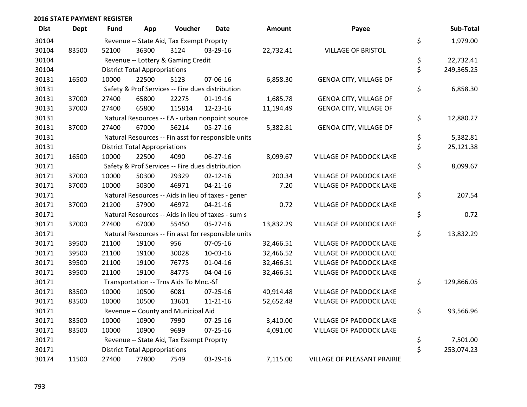| <b>Dist</b> | <b>Dept</b> | <b>Fund</b> | App                                  | Voucher                                  | <b>Date</b>                                         | Amount    | Payee                          | Sub-Total        |
|-------------|-------------|-------------|--------------------------------------|------------------------------------------|-----------------------------------------------------|-----------|--------------------------------|------------------|
| 30104       |             |             |                                      | Revenue -- State Aid, Tax Exempt Proprty |                                                     |           |                                | \$<br>1,979.00   |
| 30104       | 83500       | 52100       | 36300                                | 3124                                     | 03-29-16                                            | 22,732.41 | <b>VILLAGE OF BRISTOL</b>      |                  |
| 30104       |             |             |                                      | Revenue -- Lottery & Gaming Credit       |                                                     |           |                                | \$<br>22,732.41  |
| 30104       |             |             | <b>District Total Appropriations</b> |                                          |                                                     |           |                                | \$<br>249,365.25 |
| 30131       | 16500       | 10000       | 22500                                | 5123                                     | 07-06-16                                            | 6,858.30  | <b>GENOA CITY, VILLAGE OF</b>  |                  |
| 30131       |             |             |                                      |                                          | Safety & Prof Services -- Fire dues distribution    |           |                                | \$<br>6,858.30   |
| 30131       | 37000       | 27400       | 65800                                | 22275                                    | $01-19-16$                                          | 1,685.78  | <b>GENOA CITY, VILLAGE OF</b>  |                  |
| 30131       | 37000       | 27400       | 65800                                | 115814                                   | 12-23-16                                            | 11,194.49 | <b>GENOA CITY, VILLAGE OF</b>  |                  |
| 30131       |             |             |                                      |                                          | Natural Resources -- EA - urban nonpoint source     |           |                                | \$<br>12,880.27  |
| 30131       | 37000       | 27400       | 67000                                | 56214                                    | $05 - 27 - 16$                                      | 5,382.81  | GENOA CITY, VILLAGE OF         |                  |
| 30131       |             |             |                                      |                                          | Natural Resources -- Fin asst for responsible units |           |                                | \$<br>5,382.81   |
| 30131       |             |             | <b>District Total Appropriations</b> |                                          |                                                     |           |                                | \$<br>25,121.38  |
| 30171       | 16500       | 10000       | 22500                                | 4090                                     | 06-27-16                                            | 8,099.67  | VILLAGE OF PADDOCK LAKE        |                  |
| 30171       |             |             |                                      |                                          | Safety & Prof Services -- Fire dues distribution    |           |                                | \$<br>8,099.67   |
| 30171       | 37000       | 10000       | 50300                                | 29329                                    | $02 - 12 - 16$                                      | 200.34    | <b>VILLAGE OF PADDOCK LAKE</b> |                  |
| 30171       | 37000       | 10000       | 50300                                | 46971                                    | $04 - 21 - 16$                                      | 7.20      | VILLAGE OF PADDOCK LAKE        |                  |
| 30171       |             |             |                                      |                                          | Natural Resources -- Aids in lieu of taxes - gener  |           |                                | \$<br>207.54     |
| 30171       | 37000       | 21200       | 57900                                | 46972                                    | $04 - 21 - 16$                                      | 0.72      | VILLAGE OF PADDOCK LAKE        |                  |
| 30171       |             |             |                                      |                                          | Natural Resources -- Aids in lieu of taxes - sum s  |           |                                | \$<br>0.72       |
| 30171       | 37000       | 27400       | 67000                                | 55450                                    | $05 - 27 - 16$                                      | 13,832.29 | VILLAGE OF PADDOCK LAKE        |                  |
| 30171       |             |             |                                      |                                          | Natural Resources -- Fin asst for responsible units |           |                                | \$<br>13,832.29  |
| 30171       | 39500       | 21100       | 19100                                | 956                                      | 07-05-16                                            | 32,466.51 | VILLAGE OF PADDOCK LAKE        |                  |
| 30171       | 39500       | 21100       | 19100                                | 30028                                    | 10-03-16                                            | 32,466.52 | VILLAGE OF PADDOCK LAKE        |                  |
| 30171       | 39500       | 21100       | 19100                                | 76775                                    | $01 - 04 - 16$                                      | 32,466.51 | <b>VILLAGE OF PADDOCK LAKE</b> |                  |
| 30171       | 39500       | 21100       | 19100                                | 84775                                    | 04-04-16                                            | 32,466.51 | VILLAGE OF PADDOCK LAKE        |                  |
| 30171       |             |             |                                      | Transportation -- Trns Aids To Mnc.-Sf   |                                                     |           |                                | \$<br>129,866.05 |
| 30171       | 83500       | 10000       | 10500                                | 6081                                     | $07 - 25 - 16$                                      | 40,914.48 | <b>VILLAGE OF PADDOCK LAKE</b> |                  |
| 30171       | 83500       | 10000       | 10500                                | 13601                                    | $11 - 21 - 16$                                      | 52,652.48 | VILLAGE OF PADDOCK LAKE        |                  |
| 30171       |             |             |                                      | Revenue -- County and Municipal Aid      |                                                     |           |                                | \$<br>93,566.96  |
| 30171       | 83500       | 10000       | 10900                                | 7990                                     | $07 - 25 - 16$                                      | 3,410.00  | VILLAGE OF PADDOCK LAKE        |                  |
| 30171       | 83500       | 10000       | 10900                                | 9699                                     | $07 - 25 - 16$                                      | 4,091.00  | VILLAGE OF PADDOCK LAKE        |                  |
| 30171       |             |             |                                      | Revenue -- State Aid, Tax Exempt Proprty |                                                     |           |                                | \$<br>7,501.00   |
| 30171       |             |             | <b>District Total Appropriations</b> |                                          |                                                     |           |                                | \$<br>253,074.23 |
| 30174       | 11500       | 27400       | 77800                                | 7549                                     | 03-29-16                                            | 7,115.00  | VILLAGE OF PLEASANT PRAIRIE    |                  |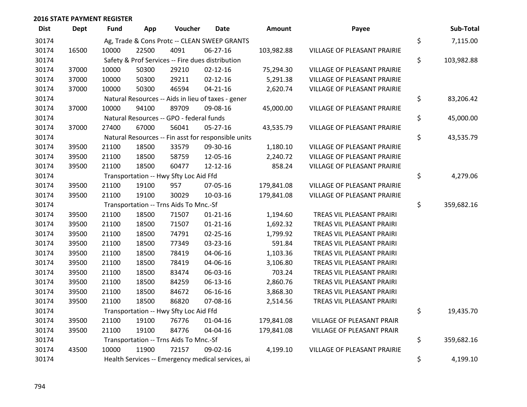| <b>Dist</b> | <b>Dept</b> | <b>Fund</b> | App   | Voucher                                  | <b>Date</b>                                         | Amount     | Payee                       | Sub-Total        |
|-------------|-------------|-------------|-------|------------------------------------------|-----------------------------------------------------|------------|-----------------------------|------------------|
| 30174       |             |             |       |                                          | Ag, Trade & Cons Protc -- CLEAN SWEEP GRANTS        |            |                             | \$<br>7,115.00   |
| 30174       | 16500       | 10000       | 22500 | 4091                                     | 06-27-16                                            | 103,982.88 | VILLAGE OF PLEASANT PRAIRIE |                  |
| 30174       |             |             |       |                                          | Safety & Prof Services -- Fire dues distribution    |            |                             | \$<br>103,982.88 |
| 30174       | 37000       | 10000       | 50300 | 29210                                    | $02 - 12 - 16$                                      | 75,294.30  | VILLAGE OF PLEASANT PRAIRIE |                  |
| 30174       | 37000       | 10000       | 50300 | 29211                                    | $02 - 12 - 16$                                      | 5,291.38   | VILLAGE OF PLEASANT PRAIRIE |                  |
| 30174       | 37000       | 10000       | 50300 | 46594                                    | $04 - 21 - 16$                                      | 2,620.74   | VILLAGE OF PLEASANT PRAIRIE |                  |
| 30174       |             |             |       |                                          | Natural Resources -- Aids in lieu of taxes - gener  |            |                             | \$<br>83,206.42  |
| 30174       | 37000       | 10000       | 94100 | 89709                                    | 09-08-16                                            | 45,000.00  | VILLAGE OF PLEASANT PRAIRIE |                  |
| 30174       |             |             |       | Natural Resources -- GPO - federal funds |                                                     |            |                             | \$<br>45,000.00  |
| 30174       | 37000       | 27400       | 67000 | 56041                                    | 05-27-16                                            | 43,535.79  | VILLAGE OF PLEASANT PRAIRIE |                  |
| 30174       |             |             |       |                                          | Natural Resources -- Fin asst for responsible units |            |                             | \$<br>43,535.79  |
| 30174       | 39500       | 21100       | 18500 | 33579                                    | 09-30-16                                            | 1,180.10   | VILLAGE OF PLEASANT PRAIRIE |                  |
| 30174       | 39500       | 21100       | 18500 | 58759                                    | 12-05-16                                            | 2,240.72   | VILLAGE OF PLEASANT PRAIRIE |                  |
| 30174       | 39500       | 21100       | 18500 | 60477                                    | 12-12-16                                            | 858.24     | VILLAGE OF PLEASANT PRAIRIE |                  |
| 30174       |             |             |       | Transportation -- Hwy Sfty Loc Aid Ffd   |                                                     |            |                             | \$<br>4,279.06   |
| 30174       | 39500       | 21100       | 19100 | 957                                      | 07-05-16                                            | 179,841.08 | VILLAGE OF PLEASANT PRAIRIE |                  |
| 30174       | 39500       | 21100       | 19100 | 30029                                    | 10-03-16                                            | 179,841.08 | VILLAGE OF PLEASANT PRAIRIE |                  |
| 30174       |             |             |       | Transportation -- Trns Aids To Mnc.-Sf   |                                                     |            |                             | \$<br>359,682.16 |
| 30174       | 39500       | 21100       | 18500 | 71507                                    | $01 - 21 - 16$                                      | 1,194.60   | TREAS VIL PLEASANT PRAIRI   |                  |
| 30174       | 39500       | 21100       | 18500 | 71507                                    | $01 - 21 - 16$                                      | 1,692.32   | TREAS VIL PLEASANT PRAIRI   |                  |
| 30174       | 39500       | 21100       | 18500 | 74791                                    | 02-25-16                                            | 1,799.92   | TREAS VIL PLEASANT PRAIRI   |                  |
| 30174       | 39500       | 21100       | 18500 | 77349                                    | 03-23-16                                            | 591.84     | TREAS VIL PLEASANT PRAIRI   |                  |
| 30174       | 39500       | 21100       | 18500 | 78419                                    | 04-06-16                                            | 1,103.36   | TREAS VIL PLEASANT PRAIRI   |                  |
| 30174       | 39500       | 21100       | 18500 | 78419                                    | 04-06-16                                            | 3,106.80   | TREAS VIL PLEASANT PRAIRI   |                  |
| 30174       | 39500       | 21100       | 18500 | 83474                                    | 06-03-16                                            | 703.24     | TREAS VIL PLEASANT PRAIRI   |                  |
| 30174       | 39500       | 21100       | 18500 | 84259                                    | 06-13-16                                            | 2,860.76   | TREAS VIL PLEASANT PRAIRI   |                  |
| 30174       | 39500       | 21100       | 18500 | 84672                                    | 06-16-16                                            | 3,868.30   | TREAS VIL PLEASANT PRAIRI   |                  |
| 30174       | 39500       | 21100       | 18500 | 86820                                    | 07-08-16                                            | 2,514.56   | TREAS VIL PLEASANT PRAIRI   |                  |
| 30174       |             |             |       | Transportation -- Hwy Sfty Loc Aid Ffd   |                                                     |            |                             | \$<br>19,435.70  |
| 30174       | 39500       | 21100       | 19100 | 76776                                    | $01 - 04 - 16$                                      | 179,841.08 | VILLAGE OF PLEASANT PRAIR   |                  |
| 30174       | 39500       | 21100       | 19100 | 84776                                    | 04-04-16                                            | 179,841.08 | VILLAGE OF PLEASANT PRAIR   |                  |
| 30174       |             |             |       | Transportation -- Trns Aids To Mnc.-Sf   |                                                     |            |                             | \$<br>359,682.16 |
| 30174       | 43500       | 10000       | 11900 | 72157                                    | 09-02-16                                            | 4,199.10   | VILLAGE OF PLEASANT PRAIRIE |                  |
| 30174       |             |             |       |                                          | Health Services -- Emergency medical services, ai   |            |                             | \$<br>4,199.10   |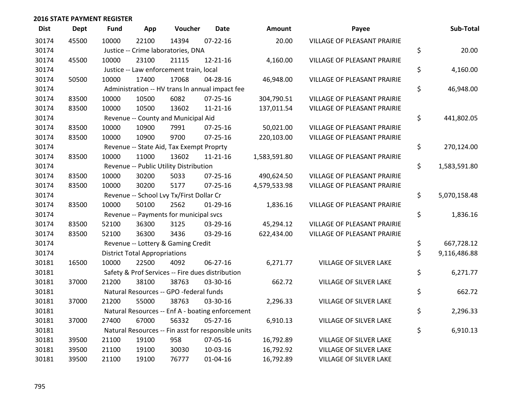| <b>Dist</b> | <b>Dept</b> | <b>Fund</b> | App                                  | Voucher                                             | <b>Date</b>    | <b>Amount</b> | Payee                              |    | Sub-Total    |  |  |
|-------------|-------------|-------------|--------------------------------------|-----------------------------------------------------|----------------|---------------|------------------------------------|----|--------------|--|--|
| 30174       | 45500       | 10000       | 22100                                | 14394                                               | $07 - 22 - 16$ | 20.00         | <b>VILLAGE OF PLEASANT PRAIRIE</b> |    |              |  |  |
| 30174       |             |             | Justice -- Crime laboratories, DNA   |                                                     |                |               |                                    |    |              |  |  |
| 30174       | 45500       | 10000       | 23100                                | 21115                                               | $12 - 21 - 16$ | 4,160.00      | <b>VILLAGE OF PLEASANT PRAIRIE</b> |    |              |  |  |
| 30174       |             |             |                                      | Justice -- Law enforcement train, local             |                |               |                                    | \$ | 4,160.00     |  |  |
| 30174       | 50500       | 10000       | 17400                                | 17068                                               | 04-28-16       | 46,948.00     | <b>VILLAGE OF PLEASANT PRAIRIE</b> |    |              |  |  |
| 30174       |             |             |                                      | Administration -- HV trans In annual impact fee     |                |               |                                    | \$ | 46,948.00    |  |  |
| 30174       | 83500       | 10000       | 10500                                | 6082                                                | $07 - 25 - 16$ | 304,790.51    | <b>VILLAGE OF PLEASANT PRAIRIE</b> |    |              |  |  |
| 30174       | 83500       | 10000       | 10500                                | 13602                                               | $11 - 21 - 16$ | 137,011.54    | <b>VILLAGE OF PLEASANT PRAIRIE</b> |    |              |  |  |
| 30174       |             |             |                                      | Revenue -- County and Municipal Aid                 |                |               |                                    | \$ | 441,802.05   |  |  |
| 30174       | 83500       | 10000       | 10900                                | 7991                                                | 07-25-16       | 50,021.00     | VILLAGE OF PLEASANT PRAIRIE        |    |              |  |  |
| 30174       | 83500       | 10000       | 10900                                | 9700                                                | $07 - 25 - 16$ | 220,103.00    | VILLAGE OF PLEASANT PRAIRIE        |    |              |  |  |
| 30174       |             |             |                                      | Revenue -- State Aid, Tax Exempt Proprty            |                |               |                                    | \$ | 270,124.00   |  |  |
| 30174       | 83500       | 10000       | 11000                                | 13602                                               | $11 - 21 - 16$ | 1,583,591.80  | VILLAGE OF PLEASANT PRAIRIE        |    |              |  |  |
| 30174       |             |             |                                      | Revenue -- Public Utility Distribution              |                |               |                                    | \$ | 1,583,591.80 |  |  |
| 30174       | 83500       | 10000       | 30200                                | 5033                                                | $07 - 25 - 16$ | 490,624.50    | VILLAGE OF PLEASANT PRAIRIE        |    |              |  |  |
| 30174       | 83500       | 10000       | 30200                                | 5177                                                | $07 - 25 - 16$ | 4,579,533.98  | VILLAGE OF PLEASANT PRAIRIE        |    |              |  |  |
| 30174       |             |             |                                      | Revenue -- School Lvy Tx/First Dollar Cr            |                |               |                                    | \$ | 5,070,158.48 |  |  |
| 30174       | 83500       | 10000       | 50100                                | 2562                                                | $01-29-16$     | 1,836.16      | VILLAGE OF PLEASANT PRAIRIE        |    |              |  |  |
| 30174       |             |             |                                      | Revenue -- Payments for municipal svcs              |                |               |                                    | \$ | 1,836.16     |  |  |
| 30174       | 83500       | 52100       | 36300                                | 3125                                                | 03-29-16       | 45,294.12     | VILLAGE OF PLEASANT PRAIRIE        |    |              |  |  |
| 30174       | 83500       | 52100       | 36300                                | 3436                                                | 03-29-16       | 622,434.00    | <b>VILLAGE OF PLEASANT PRAIRIE</b> |    |              |  |  |
| 30174       |             |             |                                      | Revenue -- Lottery & Gaming Credit                  |                |               |                                    | \$ | 667,728.12   |  |  |
| 30174       |             |             | <b>District Total Appropriations</b> |                                                     |                |               |                                    | \$ | 9,116,486.88 |  |  |
| 30181       | 16500       | 10000       | 22500                                | 4092                                                | 06-27-16       | 6,271.77      | VILLAGE OF SILVER LAKE             |    |              |  |  |
| 30181       |             |             |                                      | Safety & Prof Services -- Fire dues distribution    |                |               |                                    | \$ | 6,271.77     |  |  |
| 30181       | 37000       | 21200       | 38100                                | 38763                                               | 03-30-16       | 662.72        | VILLAGE OF SILVER LAKE             |    |              |  |  |
| 30181       |             |             |                                      | Natural Resources -- GPO -federal funds             |                |               |                                    | \$ | 662.72       |  |  |
| 30181       | 37000       | 21200       | 55000                                | 38763                                               | 03-30-16       | 2,296.33      | VILLAGE OF SILVER LAKE             |    |              |  |  |
| 30181       |             |             |                                      | Natural Resources -- Enf A - boating enforcement    |                |               |                                    | \$ | 2,296.33     |  |  |
| 30181       | 37000       | 27400       | 67000                                | 56332                                               | 05-27-16       | 6,910.13      | VILLAGE OF SILVER LAKE             |    |              |  |  |
| 30181       |             |             |                                      | Natural Resources -- Fin asst for responsible units |                |               |                                    | \$ | 6,910.13     |  |  |
| 30181       | 39500       | 21100       | 19100                                | 958                                                 | 07-05-16       | 16,792.89     | VILLAGE OF SILVER LAKE             |    |              |  |  |
| 30181       | 39500       | 21100       | 19100                                | 30030                                               | 10-03-16       | 16,792.92     | VILLAGE OF SILVER LAKE             |    |              |  |  |
| 30181       | 39500       | 21100       | 19100                                | 76777                                               | 01-04-16       | 16,792.89     | VILLAGE OF SILVER LAKE             |    |              |  |  |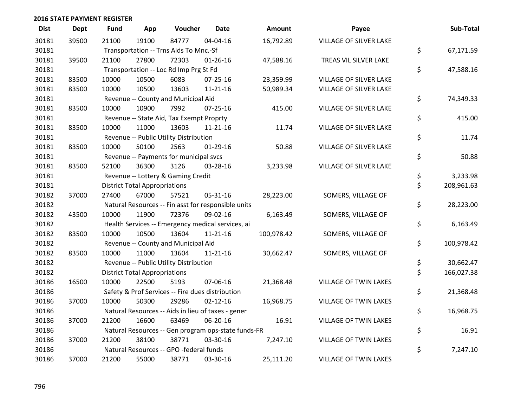| <b>Dist</b> | <b>Dept</b> | <b>Fund</b>                                         | App                                  | Voucher                                  | <b>Date</b>                                         | Amount     | Payee                        | Sub-Total        |
|-------------|-------------|-----------------------------------------------------|--------------------------------------|------------------------------------------|-----------------------------------------------------|------------|------------------------------|------------------|
| 30181       | 39500       | 21100                                               | 19100                                | 84777                                    | 04-04-16                                            | 16,792.89  | VILLAGE OF SILVER LAKE       |                  |
| 30181       |             |                                                     |                                      | Transportation -- Trns Aids To Mnc.-Sf   |                                                     |            |                              | \$<br>67,171.59  |
| 30181       | 39500       | 21100                                               | 27800                                | 72303                                    | $01 - 26 - 16$                                      | 47,588.16  | TREAS VIL SILVER LAKE        |                  |
| 30181       |             |                                                     |                                      | Transportation -- Loc Rd Imp Prg St Fd   |                                                     |            |                              | \$<br>47,588.16  |
| 30181       | 83500       | 10000                                               | 10500                                | 6083                                     | $07 - 25 - 16$                                      | 23,359.99  | VILLAGE OF SILVER LAKE       |                  |
| 30181       | 83500       | 10000                                               | 10500                                | 13603                                    | $11 - 21 - 16$                                      | 50,989.34  | VILLAGE OF SILVER LAKE       |                  |
| 30181       |             |                                                     |                                      | Revenue -- County and Municipal Aid      |                                                     |            |                              | \$<br>74,349.33  |
| 30181       | 83500       | 10000                                               | 10900                                | 7992                                     | 07-25-16                                            | 415.00     | VILLAGE OF SILVER LAKE       |                  |
| 30181       |             |                                                     |                                      | Revenue -- State Aid, Tax Exempt Proprty |                                                     |            |                              | \$<br>415.00     |
| 30181       | 83500       | 10000                                               | 11000                                | 13603                                    | $11 - 21 - 16$                                      | 11.74      | VILLAGE OF SILVER LAKE       |                  |
| 30181       |             |                                                     |                                      | Revenue -- Public Utility Distribution   |                                                     |            |                              | \$<br>11.74      |
| 30181       | 83500       | 10000                                               | 50100                                | 2563                                     | $01-29-16$                                          | 50.88      | VILLAGE OF SILVER LAKE       |                  |
| 30181       |             |                                                     |                                      | Revenue -- Payments for municipal svcs   |                                                     |            |                              | \$<br>50.88      |
| 30181       | 83500       | 52100                                               | 36300                                | 3126                                     | 03-28-16                                            | 3,233.98   | VILLAGE OF SILVER LAKE       |                  |
| 30181       |             |                                                     |                                      | Revenue -- Lottery & Gaming Credit       |                                                     |            |                              | \$<br>3,233.98   |
| 30181       |             |                                                     | <b>District Total Appropriations</b> |                                          |                                                     |            |                              | \$<br>208,961.63 |
| 30182       | 37000       | 27400                                               | 67000                                | 57521                                    | 05-31-16                                            | 28,223.00  | SOMERS, VILLAGE OF           |                  |
| 30182       |             |                                                     |                                      |                                          | Natural Resources -- Fin asst for responsible units |            |                              | \$<br>28,223.00  |
| 30182       | 43500       | 10000                                               | 11900                                | 72376                                    | 09-02-16                                            | 6,163.49   | SOMERS, VILLAGE OF           |                  |
| 30182       |             |                                                     |                                      |                                          | Health Services -- Emergency medical services, ai   |            |                              | \$<br>6,163.49   |
| 30182       | 83500       | 10000                                               | 10500                                | 13604                                    | $11 - 21 - 16$                                      | 100,978.42 | SOMERS, VILLAGE OF           |                  |
| 30182       |             |                                                     |                                      | Revenue -- County and Municipal Aid      |                                                     |            |                              | \$<br>100,978.42 |
| 30182       | 83500       | 10000                                               | 11000                                | 13604                                    | $11 - 21 - 16$                                      | 30,662.47  | SOMERS, VILLAGE OF           |                  |
| 30182       |             |                                                     |                                      | Revenue -- Public Utility Distribution   |                                                     |            |                              | \$<br>30,662.47  |
| 30182       |             |                                                     | <b>District Total Appropriations</b> |                                          |                                                     |            |                              | \$<br>166,027.38 |
| 30186       | 16500       | 10000                                               | 22500                                | 5193                                     | 07-06-16                                            | 21,368.48  | VILLAGE OF TWIN LAKES        |                  |
| 30186       |             |                                                     |                                      |                                          | Safety & Prof Services -- Fire dues distribution    |            |                              | \$<br>21,368.48  |
| 30186       | 37000       | 10000                                               | 50300                                | 29286                                    | $02 - 12 - 16$                                      | 16,968.75  | VILLAGE OF TWIN LAKES        |                  |
| 30186       |             |                                                     |                                      |                                          | Natural Resources -- Aids in lieu of taxes - gener  |            |                              | \$<br>16,968.75  |
| 30186       | 37000       | 21200                                               | 16600                                | 63469                                    | 06-20-16                                            | 16.91      | <b>VILLAGE OF TWIN LAKES</b> |                  |
| 30186       |             | Natural Resources -- Gen program ops-state funds-FR | \$<br>16.91                          |                                          |                                                     |            |                              |                  |
| 30186       | 37000       | 21200                                               | 38100                                | 38771                                    | 03-30-16                                            | 7,247.10   | <b>VILLAGE OF TWIN LAKES</b> |                  |
| 30186       |             |                                                     |                                      | Natural Resources -- GPO -federal funds  |                                                     |            |                              | \$<br>7,247.10   |
| 30186       | 37000       | 21200                                               | 55000                                | 38771                                    | 03-30-16                                            | 25,111.20  | <b>VILLAGE OF TWIN LAKES</b> |                  |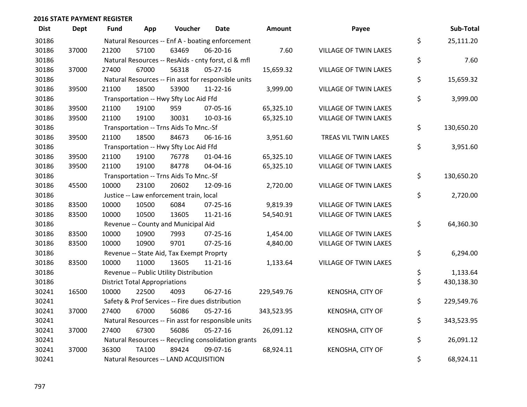| <b>Dist</b> | <b>Dept</b> | Fund                                  | App                                  | Voucher                                          | Date                                                | <b>Amount</b> | Payee                        |    | Sub-Total  |
|-------------|-------------|---------------------------------------|--------------------------------------|--------------------------------------------------|-----------------------------------------------------|---------------|------------------------------|----|------------|
| 30186       |             |                                       |                                      |                                                  | Natural Resources -- Enf A - boating enforcement    |               |                              | \$ | 25,111.20  |
| 30186       | 37000       | 21200                                 | 57100                                | 63469                                            | 06-20-16                                            | 7.60          | <b>VILLAGE OF TWIN LAKES</b> |    |            |
| 30186       |             |                                       |                                      |                                                  | Natural Resources -- ResAids - cnty forst, cl & mfl |               |                              | \$ | 7.60       |
| 30186       | 37000       | 27400                                 | 67000                                | 56318                                            | $05 - 27 - 16$                                      | 15,659.32     | VILLAGE OF TWIN LAKES        |    |            |
| 30186       |             |                                       |                                      |                                                  | Natural Resources -- Fin asst for responsible units |               |                              | \$ | 15,659.32  |
| 30186       | 39500       | 21100                                 | 18500                                | 53900                                            | $11 - 22 - 16$                                      | 3,999.00      | <b>VILLAGE OF TWIN LAKES</b> |    |            |
| 30186       |             |                                       |                                      | Transportation -- Hwy Sfty Loc Aid Ffd           |                                                     |               |                              | \$ | 3,999.00   |
| 30186       | 39500       | 21100                                 | 19100                                | 959                                              | 07-05-16                                            | 65,325.10     | <b>VILLAGE OF TWIN LAKES</b> |    |            |
| 30186       | 39500       | 21100                                 | 19100                                | 30031                                            | 10-03-16                                            | 65,325.10     | <b>VILLAGE OF TWIN LAKES</b> |    |            |
| 30186       |             |                                       |                                      | Transportation -- Trns Aids To Mnc.-Sf           |                                                     |               |                              | \$ | 130,650.20 |
| 30186       | 39500       | 21100                                 | 18500                                | 84673                                            | 06-16-16                                            | 3,951.60      | TREAS VIL TWIN LAKES         |    |            |
| 30186       |             |                                       |                                      | Transportation -- Hwy Sfty Loc Aid Ffd           |                                                     |               |                              | \$ | 3,951.60   |
| 30186       | 39500       | 21100                                 | 19100                                | 76778                                            | $01 - 04 - 16$                                      | 65,325.10     | VILLAGE OF TWIN LAKES        |    |            |
| 30186       | 39500       | 21100                                 | 19100                                | 84778                                            | 04-04-16                                            | 65,325.10     | VILLAGE OF TWIN LAKES        |    |            |
| 30186       |             |                                       |                                      | Transportation -- Trns Aids To Mnc.-Sf           |                                                     |               |                              | \$ | 130,650.20 |
| 30186       | 45500       | 10000                                 | 23100                                | 20602                                            | 12-09-16                                            | 2,720.00      | VILLAGE OF TWIN LAKES        |    |            |
| 30186       |             |                                       |                                      | Justice -- Law enforcement train, local          |                                                     |               |                              | \$ | 2,720.00   |
| 30186       | 83500       | 10000                                 | 10500                                | 6084                                             | $07 - 25 - 16$                                      | 9,819.39      | VILLAGE OF TWIN LAKES        |    |            |
| 30186       | 83500       | 10000                                 | 10500                                | 13605                                            | $11 - 21 - 16$                                      | 54,540.91     | VILLAGE OF TWIN LAKES        |    |            |
| 30186       |             |                                       |                                      | Revenue -- County and Municipal Aid              |                                                     |               |                              | \$ | 64,360.30  |
| 30186       | 83500       | 10000                                 | 10900                                | 7993                                             | $07 - 25 - 16$                                      | 1,454.00      | VILLAGE OF TWIN LAKES        |    |            |
| 30186       | 83500       | 10000                                 | 10900                                | 9701                                             | $07 - 25 - 16$                                      | 4,840.00      | VILLAGE OF TWIN LAKES        |    |            |
| 30186       |             |                                       |                                      | Revenue -- State Aid, Tax Exempt Proprty         |                                                     |               |                              | \$ | 6,294.00   |
| 30186       | 83500       | 10000                                 | 11000                                | 13605                                            | 11-21-16                                            | 1,133.64      | <b>VILLAGE OF TWIN LAKES</b> |    |            |
| 30186       |             |                                       |                                      | Revenue -- Public Utility Distribution           |                                                     |               |                              | \$ | 1,133.64   |
| 30186       |             |                                       | <b>District Total Appropriations</b> |                                                  |                                                     |               |                              | \$ | 430,138.30 |
| 30241       | 16500       | 10000                                 | 22500                                | 4093                                             | 06-27-16                                            | 229,549.76    | KENOSHA, CITY OF             |    |            |
| 30241       |             |                                       |                                      | Safety & Prof Services -- Fire dues distribution |                                                     |               |                              | \$ | 229,549.76 |
| 30241       | 37000       | 27400                                 | 67000                                | 56086                                            | $05 - 27 - 16$                                      | 343,523.95    | KENOSHA, CITY OF             |    |            |
| 30241       |             |                                       |                                      |                                                  | Natural Resources -- Fin asst for responsible units |               |                              | \$ | 343,523.95 |
| 30241       | 37000       | 27400                                 | 67300                                | 56086                                            | $05 - 27 - 16$                                      | 26,091.12     | KENOSHA, CITY OF             |    |            |
| 30241       |             |                                       |                                      |                                                  | Natural Resources -- Recycling consolidation grants |               |                              | \$ | 26,091.12  |
| 30241       | 37000       | 36300                                 | TA100                                | 89424                                            | 09-07-16                                            | 68,924.11     | KENOSHA, CITY OF             |    |            |
| 30241       |             | Natural Resources -- LAND ACQUISITION |                                      |                                                  |                                                     |               |                              |    | 68,924.11  |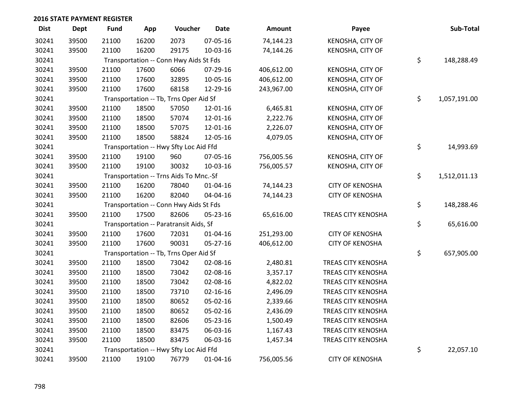| <b>Dist</b> | <b>Dept</b> | <b>Fund</b> | App   | Voucher                                | <b>Date</b>    | Amount     | Payee                     | Sub-Total          |
|-------------|-------------|-------------|-------|----------------------------------------|----------------|------------|---------------------------|--------------------|
| 30241       | 39500       | 21100       | 16200 | 2073                                   | 07-05-16       | 74,144.23  | KENOSHA, CITY OF          |                    |
| 30241       | 39500       | 21100       | 16200 | 29175                                  | 10-03-16       | 74,144.26  | KENOSHA, CITY OF          |                    |
| 30241       |             |             |       | Transportation -- Conn Hwy Aids St Fds |                |            |                           | \$<br>148,288.49   |
| 30241       | 39500       | 21100       | 17600 | 6066                                   | 07-29-16       | 406,612.00 | KENOSHA, CITY OF          |                    |
| 30241       | 39500       | 21100       | 17600 | 32895                                  | 10-05-16       | 406,612.00 | KENOSHA, CITY OF          |                    |
| 30241       | 39500       | 21100       | 17600 | 68158                                  | 12-29-16       | 243,967.00 | KENOSHA, CITY OF          |                    |
| 30241       |             |             |       | Transportation -- Tb, Trns Oper Aid Sf |                |            |                           | \$<br>1,057,191.00 |
| 30241       | 39500       | 21100       | 18500 | 57050                                  | 12-01-16       | 6,465.81   | KENOSHA, CITY OF          |                    |
| 30241       | 39500       | 21100       | 18500 | 57074                                  | 12-01-16       | 2,222.76   | KENOSHA, CITY OF          |                    |
| 30241       | 39500       | 21100       | 18500 | 57075                                  | 12-01-16       | 2,226.07   | KENOSHA, CITY OF          |                    |
| 30241       | 39500       | 21100       | 18500 | 58824                                  | 12-05-16       | 4,079.05   | KENOSHA, CITY OF          |                    |
| 30241       |             |             |       | Transportation -- Hwy Sfty Loc Aid Ffd |                |            |                           | \$<br>14,993.69    |
| 30241       | 39500       | 21100       | 19100 | 960                                    | 07-05-16       | 756,005.56 | KENOSHA, CITY OF          |                    |
| 30241       | 39500       | 21100       | 19100 | 30032                                  | 10-03-16       | 756,005.57 | KENOSHA, CITY OF          |                    |
| 30241       |             |             |       | Transportation -- Trns Aids To Mnc.-Sf |                |            |                           | \$<br>1,512,011.13 |
| 30241       | 39500       | 21100       | 16200 | 78040                                  | 01-04-16       | 74,144.23  | <b>CITY OF KENOSHA</b>    |                    |
| 30241       | 39500       | 21100       | 16200 | 82040                                  | 04-04-16       | 74,144.23  | <b>CITY OF KENOSHA</b>    |                    |
| 30241       |             |             |       | Transportation -- Conn Hwy Aids St Fds |                |            |                           | \$<br>148,288.46   |
| 30241       | 39500       | 21100       | 17500 | 82606                                  | 05-23-16       | 65,616.00  | TREAS CITY KENOSHA        |                    |
| 30241       |             |             |       | Transportation -- Paratransit Aids, Sf |                |            |                           | \$<br>65,616.00    |
| 30241       | 39500       | 21100       | 17600 | 72031                                  | 01-04-16       | 251,293.00 | <b>CITY OF KENOSHA</b>    |                    |
| 30241       | 39500       | 21100       | 17600 | 90031                                  | 05-27-16       | 406,612.00 | <b>CITY OF KENOSHA</b>    |                    |
| 30241       |             |             |       | Transportation -- Tb, Trns Oper Aid Sf |                |            |                           | \$<br>657,905.00   |
| 30241       | 39500       | 21100       | 18500 | 73042                                  | 02-08-16       | 2,480.81   | <b>TREAS CITY KENOSHA</b> |                    |
| 30241       | 39500       | 21100       | 18500 | 73042                                  | 02-08-16       | 3,357.17   | TREAS CITY KENOSHA        |                    |
| 30241       | 39500       | 21100       | 18500 | 73042                                  | 02-08-16       | 4,822.02   | TREAS CITY KENOSHA        |                    |
| 30241       | 39500       | 21100       | 18500 | 73710                                  | $02 - 16 - 16$ | 2,496.09   | TREAS CITY KENOSHA        |                    |
| 30241       | 39500       | 21100       | 18500 | 80652                                  | 05-02-16       | 2,339.66   | <b>TREAS CITY KENOSHA</b> |                    |
| 30241       | 39500       | 21100       | 18500 | 80652                                  | 05-02-16       | 2,436.09   | TREAS CITY KENOSHA        |                    |
| 30241       | 39500       | 21100       | 18500 | 82606                                  | 05-23-16       | 1,500.49   | <b>TREAS CITY KENOSHA</b> |                    |
| 30241       | 39500       | 21100       | 18500 | 83475                                  | 06-03-16       | 1,167.43   | TREAS CITY KENOSHA        |                    |
| 30241       | 39500       | 21100       | 18500 | 83475                                  | 06-03-16       | 1,457.34   | <b>TREAS CITY KENOSHA</b> |                    |
| 30241       |             |             |       | Transportation -- Hwy Sfty Loc Aid Ffd |                |            |                           | \$<br>22,057.10    |
| 30241       | 39500       | 21100       | 19100 | 76779                                  | $01 - 04 - 16$ | 756,005.56 | <b>CITY OF KENOSHA</b>    |                    |